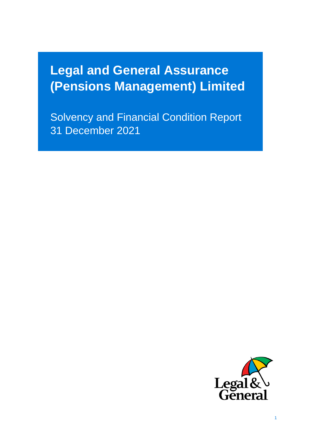# **Legal and General Assurance (Pensions Management) Limited**

Solvence and Financial Condition Report Financial Condition Report Financial Condition Report Financial Condition Solvency and Financial Condition Report

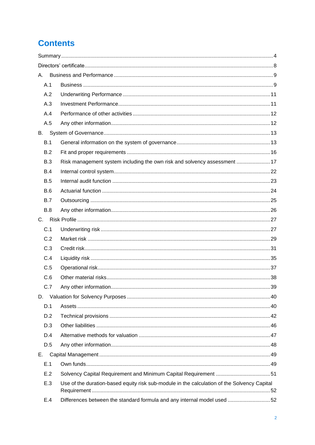# **Contents**

| А.         |                                                                                             |  |
|------------|---------------------------------------------------------------------------------------------|--|
| A.1        |                                                                                             |  |
| A.2        |                                                                                             |  |
| A.3        |                                                                                             |  |
| A.4        |                                                                                             |  |
| A.5        |                                                                                             |  |
| <b>B.</b>  |                                                                                             |  |
| B.1        |                                                                                             |  |
| B.2        |                                                                                             |  |
| B.3        | Risk management system including the own risk and solvency assessment  17                   |  |
| <b>B.4</b> |                                                                                             |  |
| <b>B.5</b> |                                                                                             |  |
| <b>B.6</b> |                                                                                             |  |
| <b>B.7</b> |                                                                                             |  |
| <b>B.8</b> |                                                                                             |  |
|            |                                                                                             |  |
| C.1        |                                                                                             |  |
| C.2        |                                                                                             |  |
| C.3        |                                                                                             |  |
| C.4        |                                                                                             |  |
| C.5        |                                                                                             |  |
| C.6        |                                                                                             |  |
| C.7        |                                                                                             |  |
| D.         |                                                                                             |  |
| D.1        |                                                                                             |  |
| D.2        |                                                                                             |  |
| D.3        |                                                                                             |  |
| D.4        |                                                                                             |  |
| D.5        |                                                                                             |  |
| Е.         |                                                                                             |  |
| E.1        |                                                                                             |  |
| E.2        | Solvency Capital Requirement and Minimum Capital Requirement 51                             |  |
| E.3        | Use of the duration-based equity risk sub-module in the calculation of the Solvency Capital |  |
| E.4        | Differences between the standard formula and any internal model used 52                     |  |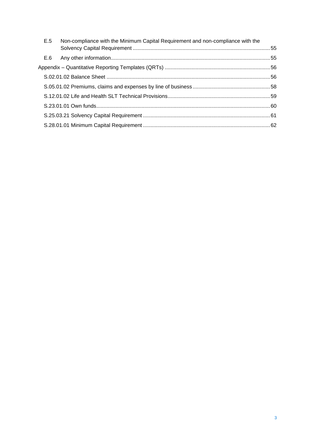| E.5 | Non-compliance with the Minimum Capital Requirement and non-compliance with the |  |
|-----|---------------------------------------------------------------------------------|--|
| E.6 |                                                                                 |  |
|     |                                                                                 |  |
|     |                                                                                 |  |
|     |                                                                                 |  |
|     |                                                                                 |  |
|     |                                                                                 |  |
|     |                                                                                 |  |
|     |                                                                                 |  |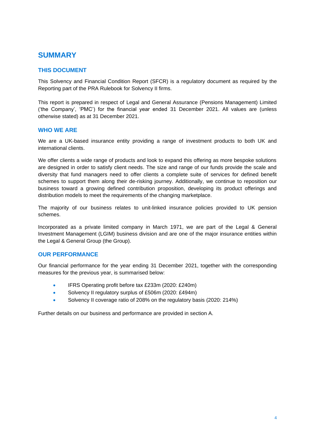# <span id="page-3-0"></span>**SUMMARY**

### **THIS DOCUMENT**

This Solvency and Financial Condition Report (SFCR) is a regulatory document as required by the Reporting part of the PRA Rulebook for Solvency II firms.

This report is prepared in respect of Legal and General Assurance (Pensions Management) Limited ('the Company', 'PMC') for the financial year ended 31 December 2021. All values are (unless otherwise stated) as at 31 December 2021.

#### **WHO WE ARE**

We are a UK-based insurance entity providing a range of investment products to both UK and international clients.

We offer clients a wide range of products and look to expand this offering as more bespoke solutions are designed in order to satisfy client needs. The size and range of our funds provide the scale and diversity that fund managers need to offer clients a complete suite of services for defined benefit schemes to support them along their de-risking journey. Additionally, we continue to reposition our business toward a growing defined contribution proposition, developing its product offerings and distribution models to meet the requirements of the changing marketplace.

The majority of our business relates to unit-linked insurance policies provided to UK pension schemes.

Incorporated as a private limited company in March 1971, we are part of the Legal & General Investment Management (LGIM) business division and are one of the major insurance entities within the Legal & General Group (the Group).

#### **OUR PERFORMANCE**

Our financial performance for the year ending 31 December 2021, together with the corresponding measures for the previous year, is summarised below:

- IFRS Operating profit before tax £233m (2020: £240m)
- Solvency II regulatory surplus of £506m (2020: £494m)
- Solvency II coverage ratio of 208% on the regulatory basis (2020: 214%)

Further details on our business and performance are provided in section A.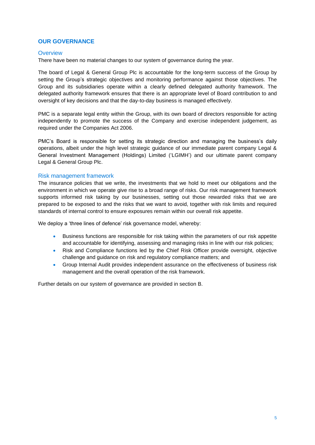#### **OUR GOVERNANCE**

#### **Overview**

There have been no material changes to our system of governance during the year.

The board of Legal & General Group Plc is accountable for the long-term success of the Group by setting the Group's strategic objectives and monitoring performance against those objectives. The Group and its subsidiaries operate within a clearly defined delegated authority framework. The delegated authority framework ensures that there is an appropriate level of Board contribution to and oversight of key decisions and that the day-to-day business is managed effectively.

PMC is a separate legal entity within the Group, with its own board of directors responsible for acting independently to promote the success of the Company and exercise independent judgement, as required under the Companies Act 2006.

PMC's Board is responsible for setting its strategic direction and managing the business's daily operations, albeit under the high level strategic guidance of our immediate parent company Legal & General Investment Management (Holdings) Limited ('LGIMH') and our ultimate parent company Legal & General Group Plc.

#### Risk management framework

The insurance policies that we write, the investments that we hold to meet our obligations and the environment in which we operate give rise to a broad range of risks. Our risk management framework supports informed risk taking by our businesses, setting out those rewarded risks that we are prepared to be exposed to and the risks that we want to avoid, together with risk limits and required standards of internal control to ensure exposures remain within our overall risk appetite.

We deploy a 'three lines of defence' risk governance model, whereby:

- Business functions are responsible for risk taking within the parameters of our risk appetite and accountable for identifying, assessing and managing risks in line with our risk policies;
- Risk and Compliance functions led by the Chief Risk Officer provide oversight, objective challenge and guidance on risk and regulatory compliance matters; and
- Group Internal Audit provides independent assurance on the effectiveness of business risk management and the overall operation of the risk framework.

Further details on our system of governance are provided in section B.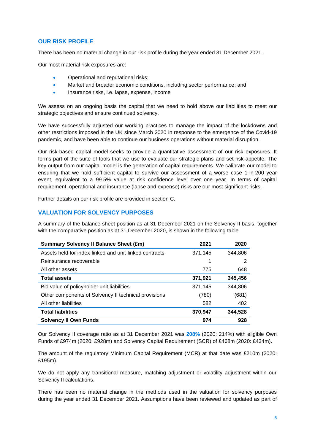#### **OUR RISK PROFILE**

There has been no material change in our risk profile during the year ended 31 December 2021.

Our most material risk exposures are:

- Operational and reputational risks;
- Market and broader economic conditions, including sector performance; and
- Insurance risks, i.e. lapse, expense, income

We assess on an ongoing basis the capital that we need to hold above our liabilities to meet our strategic objectives and ensure continued solvency.

We have successfully adjusted our working practices to manage the impact of the lockdowns and other restrictions imposed in the UK since March 2020 in response to the emergence of the Covid-19 pandemic, and have been able to continue our business operations without material disruption.

Our risk-based capital model seeks to provide a quantitative assessment of our risk exposures. It forms part of the suite of tools that we use to evaluate our strategic plans and set risk appetite. The key output from our capital model is the generation of capital requirements. We calibrate our model to ensuring that we hold sufficient capital to survive our assessment of a worse case 1-in-200 year event, equivalent to a 99.5% value at risk confidence level over one year. In terms of capital requirement, operational and insurance (lapse and expense) risks are our most significant risks.

Further details on our risk profile are provided in section C.

#### **VALUATION FOR SOLVENCY PURPOSES**

A summary of the balance sheet position as at 31 December 2021 on the Solvency II basis, together with the comparative position as at 31 December 2020, is shown in the following table.

| <b>Summary Solvency II Balance Sheet (£m)</b>          | 2021    | 2020    |
|--------------------------------------------------------|---------|---------|
| Assets held for index-linked and unit-linked contracts | 371,145 | 344,806 |
| Reinsurance recoverable                                | 1       | 2       |
| All other assets                                       | 775     | 648     |
| <b>Total assets</b>                                    | 371,921 | 345,456 |
| Bid value of policyholder unit liabilities             | 371,145 | 344.806 |
| Other components of Solvency II technical provisions   | (780)   | (681)   |
| All other liabilities                                  | 582     | 402     |
| <b>Total liabilities</b>                               | 370,947 | 344,528 |
| <b>Solvency II Own Funds</b>                           | 974     | 928     |

Our Solvency II coverage ratio as at 31 December 2021 was **208%** (2020: 214%) with eligible Own Funds of £974m (2020: £928m) and Solvency Capital Requirement (SCR) of £468m (2020: £434m).

The amount of the regulatory Minimum Capital Requirement (MCR) at that date was £210m (2020: £195m).

We do not apply any transitional measure, matching adjustment or volatility adjustment within our Solvency II calculations.

There has been no material change in the methods used in the valuation for solvency purposes during the year ended 31 December 2021. Assumptions have been reviewed and updated as part of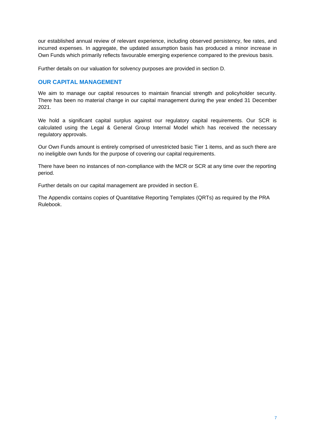our established annual review of relevant experience, including observed persistency, fee rates, and incurred expenses. In aggregate, the updated assumption basis has produced a minor increase in Own Funds which primarily reflects favourable emerging experience compared to the previous basis.

Further details on our valuation for solvency purposes are provided in section D.

#### **OUR CAPITAL MANAGEMENT**

We aim to manage our capital resources to maintain financial strength and policyholder security. There has been no material change in our capital management during the year ended 31 December 2021.

We hold a significant capital surplus against our regulatory capital requirements. Our SCR is calculated using the Legal & General Group Internal Model which has received the necessary regulatory approvals.

Our Own Funds amount is entirely comprised of unrestricted basic Tier 1 items, and as such there are no ineligible own funds for the purpose of covering our capital requirements.

There have been no instances of non-compliance with the MCR or SCR at any time over the reporting period.

Further details on our capital management are provided in section E.

The Appendix contains copies of Quantitative Reporting Templates (QRTs) as required by the PRA Rulebook.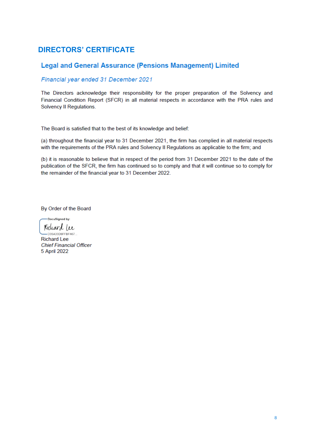# <span id="page-7-0"></span>**DIRECTORS' CERTIFICATE**

# **Legal and General Assurance (Pensions Management) Limited**

# Financial year ended 31 December 2021

The Directors acknowledge their responsibility for the proper preparation of the Solvency and Financial Condition Report (SFCR) in all material respects in accordance with the PRA rules and Solvency II Regulations.

The Board is satisfied that to the best of its knowledge and belief:

(a) throughout the financial year to 31 December 2021, the firm has complied in all material respects with the requirements of the PRA rules and Solvency II Regulations as applicable to the firm; and

(b) it is reasonable to believe that in respect of the period from 31 December 2021 to the date of the publication of the SFCR, the firm has continued so to comply and that it will continue so to comply for the remainder of the financial year to 31 December 2022.

By Order of the Board

-DocuSigned by: Richard (ee

-D35A33D8FFBF467... **Richard Lee Chief Financial Officer** 5 April 2022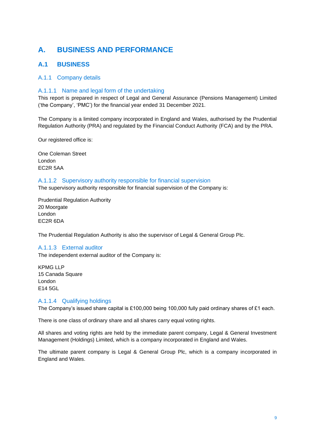# <span id="page-8-0"></span>**A. BUSINESS AND PERFORMANCE**

# <span id="page-8-1"></span>**A.1 BUSINESS**

#### A.1.1 Company details

#### A.1.1.1 Name and legal form of the undertaking

This report is prepared in respect of Legal and General Assurance (Pensions Management) Limited ('the Company', 'PMC') for the financial year ended 31 December 2021.

The Company is a limited company incorporated in England and Wales, authorised by the Prudential Regulation Authority (PRA) and regulated by the Financial Conduct Authority (FCA) and by the PRA.

Our registered office is:

One Coleman Street London EC2R 5AA

#### A.1.1.2 Supervisory authority responsible for financial supervision

The supervisory authority responsible for financial supervision of the Company is:

Prudential Regulation Authority 20 Moorgate London EC2R 6DA

The Prudential Regulation Authority is also the supervisor of Legal & General Group Plc.

#### A.1.1.3 External auditor

The independent external auditor of the Company is:

KPMG LLP 15 Canada Square London E14 5GL

#### A.1.1.4 Qualifying holdings

The Company's issued share capital is £100,000 being 100,000 fully paid ordinary shares of £1 each.

There is one class of ordinary share and all shares carry equal voting rights.

All shares and voting rights are held by the immediate parent company, Legal & General Investment Management (Holdings) Limited, which is a company incorporated in England and Wales.

The ultimate parent company is Legal & General Group Plc, which is a company incorporated in England and Wales.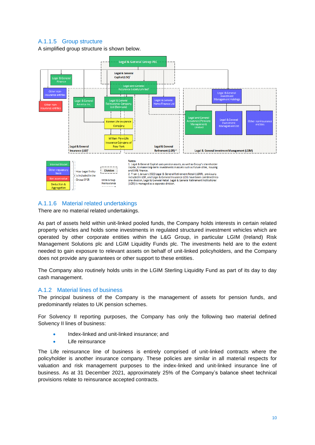### A.1.1.5 Group structure

A simplified group structure is shown below.



### A.1.1.6 Material related undertakings

There are no material related undertakings.

As part of assets held within unit-linked pooled funds, the Company holds interests in certain related property vehicles and holds some investments in regulated structured investment vehicles which are operated by other corporate entities within the L&G Group, in particular LGIM (Ireland) Risk Management Solutions plc and LGIM Liquidity Funds plc. The investments held are to the extent needed to gain exposure to relevant assets on behalf of unit-linked policyholders, and the Company does not provide any guarantees or other support to these entities.

The Company also routinely holds units in the LGIM Sterling Liquidity Fund as part of its day to day cash management.

#### A.1.2 Material lines of business

The principal business of the Company is the management of assets for pension funds, and predominantly relates to UK pension schemes.

For Solvency II reporting purposes, the Company has only the following two material defined Solvency II lines of business:

- Index-linked and unit-linked insurance: and
- Life reinsurance

The Life reinsurance line of business is entirely comprised of unit-linked contracts where the policyholder is another insurance company. These policies are similar in all material respects for valuation and risk management purposes to the index-linked and unit-linked insurance line of business. As at 31 December 2021, approximately 25% of the Company's balance sheet technical provisions relate to reinsurance accepted contracts.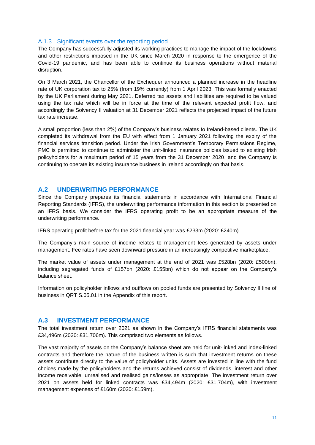#### A.1.3 Significant events over the reporting period

The Company has successfully adjusted its working practices to manage the impact of the lockdowns and other restrictions imposed in the UK since March 2020 in response to the emergence of the Covid-19 pandemic, and has been able to continue its business operations without material disruption.

On 3 March 2021, the Chancellor of the Exchequer announced a planned increase in the headline rate of UK corporation tax to 25% (from 19% currently) from 1 April 2023. This was formally enacted by the UK Parliament during May 2021. Deferred tax assets and liabilities are required to be valued using the tax rate which will be in force at the time of the relevant expected profit flow, and accordingly the Solvency II valuation at 31 December 2021 reflects the projected impact of the future tax rate increase.

A small proportion (less than 2%) of the Company's business relates to Ireland-based clients. The UK completed its withdrawal from the EU with effect from 1 January 2021 following the expiry of the financial services transition period. Under the Irish Government's Temporary Permissions Regime, PMC is permitted to continue to administer the unit-linked insurance policies issued to existing Irish policyholders for a maximum period of 15 years from the 31 December 2020, and the Company is continuing to operate its existing insurance business in Ireland accordingly on that basis.

#### <span id="page-10-0"></span>**A.2 UNDERWRITING PERFORMANCE**

Since the Company prepares its financial statements in accordance with International Financial Reporting Standards (IFRS), the underwriting performance information in this section is presented on an IFRS basis. We consider the IFRS operating profit to be an appropriate measure of the underwriting performance.

IFRS operating profit before tax for the 2021 financial year was £233m (2020: £240m).

The Company's main source of income relates to management fees generated by assets under management. Fee rates have seen downward pressure in an increasingly competitive marketplace.

The market value of assets under management at the end of 2021 was £528bn (2020: £500bn), including segregated funds of £157bn (2020: £155bn) which do not appear on the Company's balance sheet.

Information on policyholder inflows and outflows on pooled funds are presented by Solvency II line of business in QRT S.05.01 in the Appendix of this report.

#### <span id="page-10-1"></span>**A.3 INVESTMENT PERFORMANCE**

The total investment return over 2021 as shown in the Company's IFRS financial statements was £34,496m (2020: £31,706m). This comprised two elements as follows.

The vast majority of assets on the Company's balance sheet are held for unit-linked and index-linked contracts and therefore the nature of the business written is such that investment returns on these assets contribute directly to the value of policyholder units. Assets are invested in line with the fund choices made by the policyholders and the returns achieved consist of dividends, interest and other income receivable, unrealised and realised gains/losses as appropriate. The investment return over 2021 on assets held for linked contracts was £34,494m (2020: £31,704m), with investment management expenses of £160m (2020: £159m).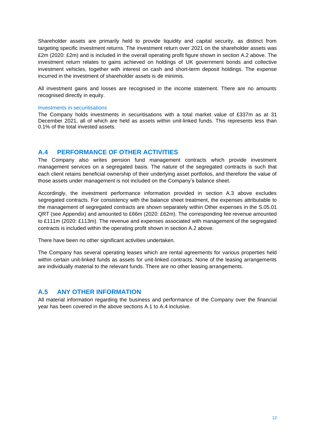Shareholder assets are primarily held to provide liquidity and capital security, as distinct from targeting specific investment returns. The investment return over 2021 on the shareholder assets was £2m (2020: £2m) and is included in the overall operating profit figure shown in section A.2 above. The investment return relates to gains achieved on holdings of UK government bonds and collective investment vehicles, together with interest on cash and short-term deposit holdings. The expense incurred in the investment of shareholder assets is de minimis.

All investment gains and losses are recognised in the income statement. There are no amounts recognised directly in equity.

#### Investments in securitisations

The Company holds investments in securitisations with a total market value of £337m as at 31 December 2021, all of which are held as assets within unit-linked funds. This represents less than 0.1% of the total invested assets.

#### <span id="page-11-0"></span>**A.4 PERFORMANCE OF OTHER ACTIVITIES**

The Company also writes pension fund management contracts which provide investment management services on a segregated basis. The nature of the segregated contracts is such that each client retains beneficial ownership of their underlying asset portfolios, and therefore the value of those assets under management is not included on the Company's balance sheet.

Accordingly, the investment performance information provided in section A.3 above excludes segregated contracts. For consistency with the balance sheet treatment, the expenses attributable to the management of segregated contracts are shown separately within Other expenses in the S.05.01 QRT (see Appendix) and amounted to £66m (2020: £62m). The corresponding fee revenue amounted to £111m (2020: £113m). The revenue and expenses associated with management of the segregated contracts is included within the operating profit shown in section A.2 above.

There have been no other significant activities undertaken.

The Company has several operating leases which are rental agreements for various properties held within certain unit-linked funds as assets for unit-linked contracts. None of the leasing arrangements are individually material to the relevant funds. There are no other leasing arrangements.

#### <span id="page-11-1"></span>**A.5 ANY OTHER INFORMATION**

All material information regarding the business and performance of the Company over the financial year has been covered in the above sections A.1 to A.4 inclusive.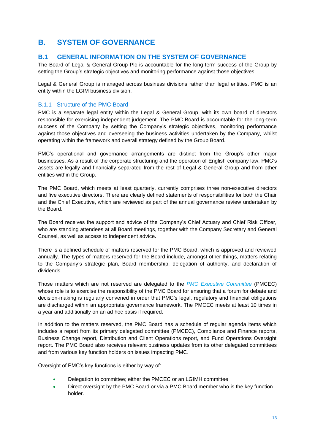# <span id="page-12-0"></span>**B. SYSTEM OF GOVERNANCE**

# <span id="page-12-1"></span>**B.1 GENERAL INFORMATION ON THE SYSTEM OF GOVERNANCE**

The Board of Legal & General Group Plc is accountable for the long-term success of the Group by setting the Group's strategic objectives and monitoring performance against those objectives.

Legal & General Group is managed across business divisions rather than legal entities. PMC is an entity within the LGIM business division.

#### B.1.1 Structure of the PMC Board

PMC is a separate legal entity within the Legal & General Group, with its own board of directors responsible for exercising independent judgement. The PMC Board is accountable for the long-term success of the Company by setting the Company's strategic objectives, monitoring performance against those objectives and overseeing the business activities undertaken by the Company, whilst operating within the framework and overall strategy defined by the Group Board.

PMC's operational and governance arrangements are distinct from the Group's other major businesses. As a result of the corporate structuring and the operation of English company law, PMC's assets are legally and financially separated from the rest of Legal & General Group and from other entities within the Group.

The PMC Board, which meets at least quarterly, currently comprises three non-executive directors and five executive directors. There are clearly defined statements of responsibilities for both the Chair and the Chief Executive, which are reviewed as part of the annual governance review undertaken by the Board.

The Board receives the support and advice of the Company's Chief Actuary and Chief Risk Officer, who are standing attendees at all Board meetings, together with the Company Secretary and General Counsel, as well as access to independent advice.

There is a defined schedule of matters reserved for the PMC Board, which is approved and reviewed annually. The types of matters reserved for the Board include, amongst other things, matters relating to the Company's strategic plan, Board membership, delegation of authority, and declaration of dividends.

Those matters which are not reserved are delegated to the *PMC Executive Committee* (PMCEC) whose role is to exercise the responsibility of the PMC Board for ensuring that a forum for debate and decision-making is regularly convened in order that PMC's legal, regulatory and financial obligations are discharged within an appropriate governance framework. The PMCEC meets at least 10 times in a year and additionally on an ad hoc basis if required.

In addition to the matters reserved, the PMC Board has a schedule of regular agenda items which includes a report from its primary delegated committee (PMCEC), Compliance and Finance reports, Business Change report, Distribution and Client Operations report, and Fund Operations Oversight report. The PMC Board also receives relevant business updates from its other delegated committees and from various key function holders on issues impacting PMC.

Oversight of PMC's key functions is either by way of:

- Delegation to committee; either the PMCEC or an LGIMH committee
- Direct oversight by the PMC Board or via a PMC Board member who is the key function holder.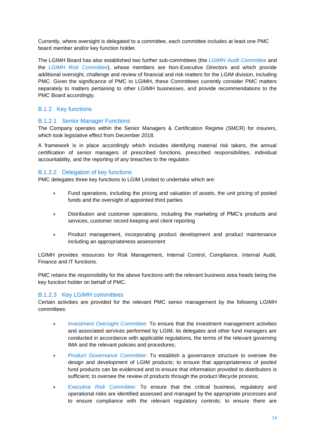Currently, where oversight is delegated to a committee, each committee includes at least one PMC board member and/or key function holder.

The LGIMH Board has also established two further sub-committees (the *LGIMH Audit Committee* and the *LGIMH Risk Committee*), whose members are Non-Executive Directors and which provide additional oversight, challenge and review of financial and risk matters for the LGIM division, including PMC. Given the significance of PMC to LGIMH, these Committees currently consider PMC matters separately to matters pertaining to other LGIMH businesses, and provide recommendations to the PMC Board accordingly.

#### B.1.2 Key functions

#### B.1.2.1 Senior Manager Functions

The Company operates within the Senior Managers & Certification Regime (SMCR) for insurers, which took legislative effect from December 2018.

A framework is in place accordingly which includes identifying material risk takers, the annual certification of senior managers of prescribed functions, prescribed responsibilities, individual accountability, and the reporting of any breaches to the regulator.

#### B.1.2.2 Delegation of key functions

PMC delegates three key functions to LGIM Limited to undertake which are:

- Fund operations, including the pricing and valuation of assets, the unit pricing of pooled funds and the oversight of appointed third parties
- Distribution and customer operations, including the marketing of PMC's products and services, customer record keeping and client reporting
- Product management, incorporating product development and product maintenance including an appropriateness assessment

LGIMH provides resources for Risk Management, Internal Control, Compliance, Internal Audit, Finance and IT functions.

PMC retains the responsibility for the above functions with the relevant business area heads being the key function holder on behalf of PMC.

#### B.1.2.3 Key LGIMH committees

Certain activities are provided for the relevant PMC senior management by the following LGIMH committees:

- *Investment Oversight Committee:* To ensure that the investment management activities and associated services performed by LGIM, its delegates and other fund managers are conducted in accordance with applicable regulations, the terms of the relevant governing IMA and the relevant policies and procedures;
- *Product Governance Committee:* To establish a governance structure to oversee the design and development of LGIM products; to ensure that appropriateness of pooled fund products can be evidenced and to ensure that information provided to distributors is sufficient; to oversee the review of products through the product lifecycle process;
- *Executive Risk Committee:* To ensure that the critical business, regulatory and operational risks are identified assessed and managed by the appropriate processes and to ensure compliance with the relevant regulatory controls; to ensure there are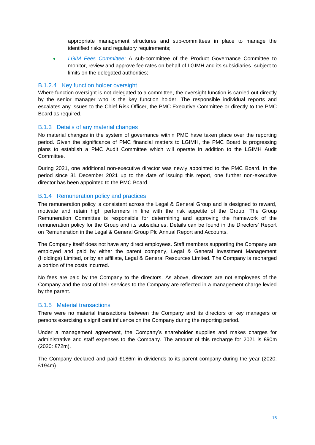appropriate management structures and sub-committees in place to manage the identified risks and regulatory requirements;

• *LGIM Fees Committee:* A sub-committee of the Product Governance Committee to monitor, review and approve fee rates on behalf of LGIMH and its subsidiaries, subject to limits on the delegated authorities;

#### B.1.2.4 Key function holder oversight

Where function oversight is not delegated to a committee, the oversight function is carried out directly by the senior manager who is the key function holder. The responsible individual reports and escalates any issues to the Chief Risk Officer, the PMC Executive Committee or directly to the PMC Board as required.

#### B.1.3 Details of any material changes

No material changes in the system of governance within PMC have taken place over the reporting period. Given the significance of PMC financial matters to LGIMH, the PMC Board is progressing plans to establish a PMC Audit Committee which will operate in addition to the LGIMH Audit **Committee.** 

During 2021, one additional non-executive director was newly appointed to the PMC Board. In the period since 31 December 2021 up to the date of issuing this report, one further non-executive director has been appointed to the PMC Board.

#### B.1.4 Remuneration policy and practices

The remuneration policy is consistent across the Legal & General Group and is designed to reward, motivate and retain high performers in line with the risk appetite of the Group. The Group Remuneration Committee is responsible for determining and approving the framework of the remuneration policy for the Group and its subsidiaries. Details can be found in the Directors' Report on Remuneration in the Legal & General Group Plc Annual Report and Accounts.

The Company itself does not have any direct employees. Staff members supporting the Company are employed and paid by either the parent company, Legal & General Investment Management (Holdings) Limited, or by an affiliate, Legal & General Resources Limited. The Company is recharged a portion of the costs incurred.

No fees are paid by the Company to the directors. As above, directors are not employees of the Company and the cost of their services to the Company are reflected in a management charge levied by the parent.

#### B.1.5 Material transactions

There were no material transactions between the Company and its directors or key managers or persons exercising a significant influence on the Company during the reporting period.

Under a management agreement, the Company's shareholder supplies and makes charges for administrative and staff expenses to the Company. The amount of this recharge for 2021 is £90m (2020: £72m).

The Company declared and paid £186m in dividends to its parent company during the year (2020: £194m).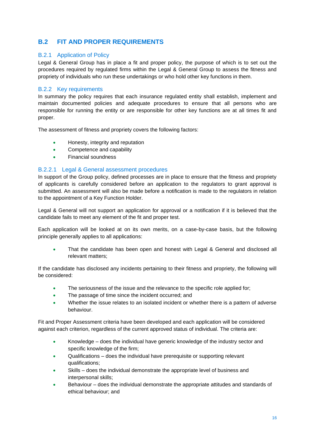# <span id="page-15-0"></span>**B.2 FIT AND PROPER REQUIREMENTS**

#### B.2.1 Application of Policy

Legal & General Group has in place a fit and proper policy, the purpose of which is to set out the procedures required by regulated firms within the Legal & General Group to assess the fitness and propriety of individuals who run these undertakings or who hold other key functions in them.

#### B.2.2 Key requirements

In summary the policy requires that each insurance regulated entity shall establish, implement and maintain documented policies and adequate procedures to ensure that all persons who are responsible for running the entity or are responsible for other key functions are at all times fit and proper.

The assessment of fitness and propriety covers the following factors:

- Honesty, integrity and reputation
- Competence and capability
- Financial soundness

#### B.2.2.1 Legal & General assessment procedures

In support of the Group policy, defined processes are in place to ensure that the fitness and propriety of applicants is carefully considered before an application to the regulators to grant approval is submitted. An assessment will also be made before a notification is made to the regulators in relation to the appointment of a Key Function Holder.

Legal & General will not support an application for approval or a notification if it is believed that the candidate fails to meet any element of the fit and proper test.

Each application will be looked at on its own merits, on a case-by-case basis, but the following principle generally applies to all applications:

That the candidate has been open and honest with Legal & General and disclosed all relevant matters;

If the candidate has disclosed any incidents pertaining to their fitness and propriety, the following will be considered:

- The seriousness of the issue and the relevance to the specific role applied for;
- The passage of time since the incident occurred; and
- Whether the issue relates to an isolated incident or whether there is a pattern of adverse behaviour.

Fit and Proper Assessment criteria have been developed and each application will be considered against each criterion, regardless of the current approved status of individual. The criteria are:

- Knowledge does the individual have generic knowledge of the industry sector and specific knowledge of the firm;
- Qualifications does the individual have prerequisite or supporting relevant qualifications;
- Skills does the individual demonstrate the appropriate level of business and interpersonal skills;
- Behaviour does the individual demonstrate the appropriate attitudes and standards of ethical behaviour; and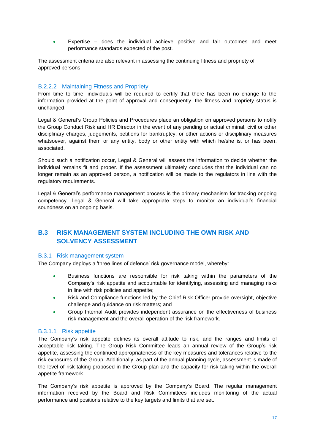• Expertise – does the individual achieve positive and fair outcomes and meet performance standards expected of the post.

The assessment criteria are also relevant in assessing the continuing fitness and propriety of approved persons.

#### B.2.2.2 Maintaining Fitness and Propriety

From time to time, individuals will be required to certify that there has been no change to the information provided at the point of approval and consequently, the fitness and propriety status is unchanged.

Legal & General's Group Policies and Procedures place an obligation on approved persons to notify the Group Conduct Risk and HR Director in the event of any pending or actual criminal, civil or other disciplinary charges, judgements, petitions for bankruptcy, or other actions or disciplinary measures whatsoever, against them or any entity, body or other entity with which he/she is, or has been, associated.

Should such a notification occur, Legal & General will assess the information to decide whether the individual remains fit and proper. If the assessment ultimately concludes that the individual can no longer remain as an approved person, a notification will be made to the regulators in line with the regulatory requirements.

Legal & General's performance management process is the primary mechanism for tracking ongoing competency. Legal & General will take appropriate steps to monitor an individual's financial soundness on an ongoing basis.

# <span id="page-16-0"></span>**B.3 RISK MANAGEMENT SYSTEM INCLUDING THE OWN RISK AND SOLVENCY ASSESSMENT**

#### B.3.1 Risk management system

The Company deploys a 'three lines of defence' risk governance model, whereby:

- Business functions are responsible for risk taking within the parameters of the Company's risk appetite and accountable for identifying, assessing and managing risks in line with risk policies and appetite;
- Risk and Compliance functions led by the Chief Risk Officer provide oversight, objective challenge and guidance on risk matters; and
- Group Internal Audit provides independent assurance on the effectiveness of business risk management and the overall operation of the risk framework.

#### B.3.1.1 Risk appetite

The Company's risk appetite defines its overall attitude to risk, and the ranges and limits of acceptable risk taking. The Group Risk Committee leads an annual review of the Group's risk appetite, assessing the continued appropriateness of the key measures and tolerances relative to the risk exposures of the Group. Additionally, as part of the annual planning cycle, assessment is made of the level of risk taking proposed in the Group plan and the capacity for risk taking within the overall appetite framework.

The Company's risk appetite is approved by the Company's Board. The regular management information received by the Board and Risk Committees includes monitoring of the actual performance and positions relative to the key targets and limits that are set.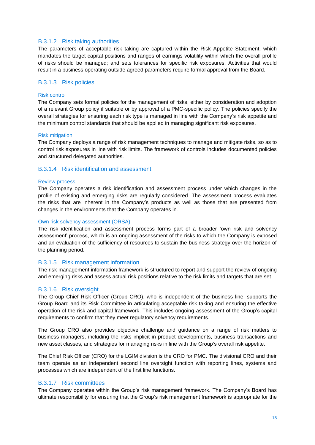#### B.3.1.2 Risk taking authorities

The parameters of acceptable risk taking are captured within the Risk Appetite Statement, which mandates the target capital positions and ranges of earnings volatility within which the overall profile of risks should be managed; and sets tolerances for specific risk exposures. Activities that would result in a business operating outside agreed parameters require formal approval from the Board.

#### B.3.1.3 Risk policies

#### Risk control

The Company sets formal policies for the management of risks, either by consideration and adoption of a relevant Group policy if suitable or by approval of a PMC-specific policy. The policies specify the overall strategies for ensuring each risk type is managed in line with the Company's risk appetite and the minimum control standards that should be applied in managing significant risk exposures.

#### Risk mitigation

The Company deploys a range of risk management techniques to manage and mitigate risks, so as to control risk exposures in line with risk limits. The framework of controls includes documented policies and structured delegated authorities.

#### B.3.1.4 Risk identification and assessment

#### Review process

The Company operates a risk identification and assessment process under which changes in the profile of existing and emerging risks are regularly considered. The assessment process evaluates the risks that are inherent in the Company's products as well as those that are presented from changes in the environments that the Company operates in.

#### Own risk solvency assessment (ORSA)

The risk identification and assessment process forms part of a broader 'own risk and solvency assessment' process, which is an ongoing assessment of the risks to which the Company is exposed and an evaluation of the sufficiency of resources to sustain the business strategy over the horizon of the planning period.

#### B.3.1.5 Risk management information

The risk management information framework is structured to report and support the review of ongoing and emerging risks and assess actual risk positions relative to the risk limits and targets that are set.

#### B.3.1.6 Risk oversight

The Group Chief Risk Officer (Group CRO), who is independent of the business line, supports the Group Board and its Risk Committee in articulating acceptable risk taking and ensuring the effective operation of the risk and capital framework. This includes ongoing assessment of the Group's capital requirements to confirm that they meet regulatory solvency requirements.

The Group CRO also provides objective challenge and guidance on a range of risk matters to business managers, including the risks implicit in product developments, business transactions and new asset classes, and strategies for managing risks in line with the Group's overall risk appetite.

The Chief Risk Officer (CRO) for the LGIM division is the CRO for PMC. The divisional CRO and their team operate as an independent second line oversight function with reporting lines, systems and processes which are independent of the first line functions.

#### B.3.1.7 Risk committees

The Company operates within the Group's risk management framework. The Company's Board has ultimate responsibility for ensuring that the Group's risk management framework is appropriate for the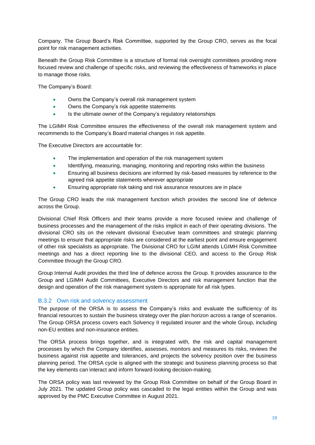Company. The Group Board's Risk Committee, supported by the Group CRO, serves as the focal point for risk management activities.

Beneath the Group Risk Committee is a structure of formal risk oversight committees providing more focused review and challenge of specific risks, and reviewing the effectiveness of frameworks in place to manage those risks.

The Company's Board:

- Owns the Company's overall risk management system
- Owns the Company's risk appetite statements
- Is the ultimate owner of the Company's regulatory relationships

The LGIMH Risk Committee ensures the effectiveness of the overall risk management system and recommends to the Company's Board material changes in risk appetite.

The Executive Directors are accountable for:

- The implementation and operation of the risk management system
- Identifying, measuring, managing, monitoring and reporting risks within the business
- Ensuring all business decisions are informed by risk-based measures by reference to the agreed risk appetite statements wherever appropriate
- Ensuring appropriate risk taking and risk assurance resources are in place

The Group CRO leads the risk management function which provides the second line of defence across the Group.

Divisional Chief Risk Officers and their teams provide a more focused review and challenge of business processes and the management of the risks implicit in each of their operating divisions. The divisional CRO sits on the relevant divisional Executive team committees and strategic planning meetings to ensure that appropriate risks are considered at the earliest point and ensure engagement of other risk specialists as appropriate. The Divisional CRO for LGIM attends LGIMH Risk Committee meetings and has a direct reporting line to the divisional CEO, and access to the Group Risk Committee through the Group CRO.

Group Internal Audit provides the third line of defence across the Group. It provides assurance to the Group and LGIMH Audit Committees, Executive Directors and risk management function that the design and operation of the risk management system is appropriate for all risk types.

#### B.3.2 Own risk and solvency assessment

The purpose of the ORSA is to assess the Company's risks and evaluate the sufficiency of its financial resources to sustain the business strategy over the plan horizon across a range of scenarios. The Group ORSA process covers each Solvency II regulated insurer and the whole Group, including non-EU entities and non-insurance entities.

The ORSA process brings together, and is integrated with, the risk and capital management processes by which the Company identifies, assesses, monitors and measures its risks, reviews the business against risk appetite and tolerances, and projects the solvency position over the business planning period. The ORSA cycle is aligned with the strategic and business planning process so that the key elements can interact and inform forward-looking decision-making.

The ORSA policy was last reviewed by the Group Risk Committee on behalf of the Group Board in July 2021. The updated Group policy was cascaded to the legal entities within the Group and was approved by the PMC Executive Committee in August 2021.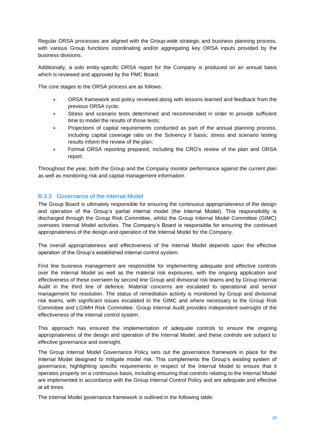Regular ORSA processes are aligned with the Group-wide strategic and business planning process, with various Group functions coordinating and/or aggregating key ORSA inputs provided by the business divisions.

Additionally, a solo entity-specific ORSA report for the Company is produced on an annual basis which is reviewed and approved by the PMC Board.

The core stages to the ORSA process are as follows:

- ORSA framework and policy reviewed along with lessons learned and feedback from the previous ORSA cycle;
- Stress and scenario tests determined and recommended in order to provide sufficient time to model the results of those tests:
- Projections of capital requirements conducted as part of the annual planning process, including capital coverage ratio on the Solvency II basis; stress and scenario testing results inform the review of the plan;
- Formal ORSA reporting prepared, including the CRO's review of the plan and ORSA report.

Throughout the year, both the Group and the Company monitor performance against the current plan as well as monitoring risk and capital management information.

#### B.3.3 Governance of the Internal Model

The Group Board is ultimately responsible for ensuring the continuous appropriateness of the design and operation of the Group's partial internal model (the Internal Model). This responsibility is discharged through the Group Risk Committee, whilst the Group Internal Model Committee (GIMC) oversees Internal Model activities. The Company's Board is responsible for ensuring the continued appropriateness of the design and operation of the Internal Model for the Company.

The overall appropriateness and effectiveness of the Internal Model depends upon the effective operation of the Group's established internal control system.

First line business management are responsible for implementing adequate and effective controls over the Internal Model as well as the material risk exposures, with the ongoing application and effectiveness of these overseen by second line Group and divisional risk teams and by Group Internal Audit in the third line of defence. Material concerns are escalated to operational and senior management for resolution. The status of remediation activity is monitored by Group and divisional risk teams, with significant issues escalated to the GIMC and where necessary to the Group Risk Committee and LGIMH Risk Committee. Group Internal Audit provides independent oversight of the effectiveness of the internal control system.

This approach has ensured the implementation of adequate controls to ensure the ongoing appropriateness of the design and operation of the Internal Model, and these controls are subject to effective governance and oversight.

The Group Internal Model Governance Policy sets out the governance framework in place for the Internal Model designed to mitigate model risk. This complements the Group's existing system of governance, highlighting specific requirements in respect of the Internal Model to ensure that it operates properly on a continuous basis, including ensuring that controls relating to the Internal Model are implemented in accordance with the Group Internal Control Policy and are adequate and effective at all times.

The Internal Model governance framework is outlined in the following table: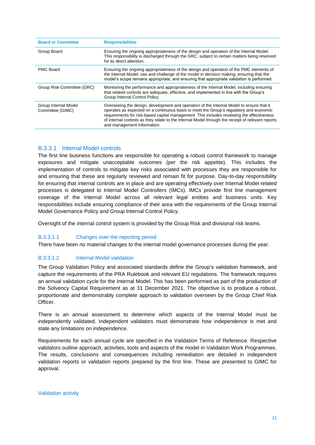| <b>Board or Committee</b>                | <b>Responsibilities</b>                                                                                                                                                                                                                                                                                                                                                                                             |
|------------------------------------------|---------------------------------------------------------------------------------------------------------------------------------------------------------------------------------------------------------------------------------------------------------------------------------------------------------------------------------------------------------------------------------------------------------------------|
| Group Board                              | Ensuring the ongoing appropriateness of the design and operation of the Internal Model.<br>This responsibility is discharged through the GRC, subject to certain matters being reserved<br>for its direct attention.                                                                                                                                                                                                |
| <b>PMC Board</b>                         | Ensuring the ongoing appropriateness of the design and operation of the PMC elements of<br>the Internal Model; use and challenge of the model in decision making; ensuring that the<br>model's scope remains appropriate; and ensuring that appropriate validation is performed.                                                                                                                                    |
| Group Risk Committee (GRC)               | Monitoring the performance and appropriateness of the Internal Model, including ensuring<br>that related controls are adequate, effective, and implemented in line with the Group's<br>Group Internal Control Policy.                                                                                                                                                                                               |
| Group Internal Model<br>Committee (GIMC) | Overseeing the design, development and operation of the Internal Model to ensure that it<br>operates as expected on a continuous basis to meet the Group's regulatory and economic<br>requirements for risk-based capital management. This includes reviewing the effectiveness<br>of internal controls as they relate to the Internal Model through the receipt of relevant reports<br>and management information. |

#### B.3.3.1 Internal Model controls

The first line business functions are responsible for operating a robust control framework to manage exposures and mitigate unacceptable outcomes (per the risk appetite). This includes the implementation of controls to mitigate key risks associated with processes they are responsible for and ensuring that these are regularly reviewed and remain fit for purpose. Day-to-day responsibility for ensuring that internal controls are in place and are operating effectively over Internal Model related processes is delegated to Internal Model Controllers (IMCs). IMCs provide first line management coverage of the Internal Model across all relevant legal entities and business units. Key responsibilities include ensuring compliance of their area with the requirements of the Group Internal Model Governance Policy and Group Internal Control Policy.

Oversight of the internal control system is provided by the Group Risk and divisional risk teams.

#### B.3.3.1.1 Changes over the reporting period

There have been no material changes to the internal model governance processes during the year.

#### B.3.3.1.2 Internal Model validation

The Group Validation Policy and associated standards define the Group's validation framework, and capture the requirements of the PRA Rulebook and relevant EU regulations. The framework requires an annual validation cycle for the Internal Model. This has been performed as part of the production of the Solvency Capital Requirement as at 31 December 2021. The objective is to produce a robust, proportionate and demonstrably complete approach to validation overseen by the Group Chief Risk Officer.

There is an annual assessment to determine which aspects of the Internal Model must be independently validated. Independent validators must demonstrate how independence is met and state any limitations on independence.

Requirements for each annual cycle are specified in the Validation Terms of Reference. Respective validators outline approach, activities, tools and aspects of the model in Validation Work Programmes. The results, conclusions and consequences including remediation are detailed in independent validation reports or validation reports prepared by the first line. These are presented to GIMC for approval.

Validation activity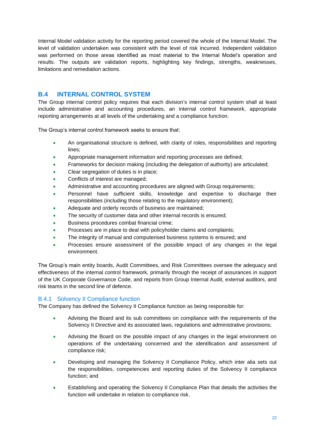Internal Model validation activity for the reporting period covered the whole of the Internal Model. The level of validation undertaken was consistent with the level of risk incurred. Independent validation was performed on those areas identified as most material to the Internal Model's operation and results. The outputs are validation reports, highlighting key findings, strengths, weaknesses, limitations and remediation actions.

# <span id="page-21-0"></span>**B.4 INTERNAL CONTROL SYSTEM**

The Group internal control policy requires that each division's internal control system shall at least include administrative and accounting procedures, an internal control framework, appropriate reporting arrangements at all levels of the undertaking and a compliance function.

The Group's internal control framework seeks to ensure that:

- An organisational structure is defined, with clarity of roles, responsibilities and reporting lines;
- Appropriate management information and reporting processes are defined;
- Frameworks for decision making (including the delegation of authority) are articulated;
- Clear segregation of duties is in place;
- Conflicts of interest are managed;
- Administrative and accounting procedures are aligned with Group requirements;
- Personnel have sufficient skills, knowledge and expertise to discharge their responsibilities (including those relating to the regulatory environment);
- Adequate and orderly records of business are maintained;
- The security of customer data and other internal records is ensured;
- Business procedures combat financial crime;
- Processes are in place to deal with policyholder claims and complaints;
- The integrity of manual and computerised business systems is ensured; and
- Processes ensure assessment of the possible impact of any changes in the legal environment.

The Group's main entity boards, Audit Committees, and Risk Committees oversee the adequacy and effectiveness of the internal control framework, primarily through the receipt of assurances in support of the UK Corporate Governance Code, and reports from Group Internal Audit, external auditors, and risk teams in the second line of defence.

#### B.4.1 Solvency II Compliance function

The Company has defined the Solvency II Compliance function as being responsible for:

- Advising the Board and its sub committees on compliance with the requirements of the Solvency II Directive and its associated laws, regulations and administrative provisions;
- Advising the Board on the possible impact of any changes in the legal environment on operations of the undertaking concerned and the identification and assessment of compliance risk;
- Developing and managing the Solvency II Compliance Policy, which inter alia sets out the responsibilities, competencies and reporting duties of the Solvency II compliance function; and
- Establishing and operating the Solvency II Compliance Plan that details the activities the function will undertake in relation to compliance risk.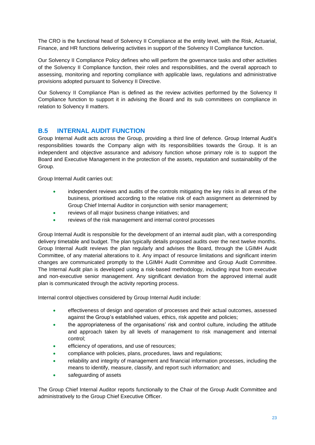The CRO is the functional head of Solvency II Compliance at the entity level, with the Risk, Actuarial, Finance, and HR functions delivering activities in support of the Solvency II Compliance function.

Our Solvency II Compliance Policy defines who will perform the governance tasks and other activities of the Solvency II Compliance function, their roles and responsibilities, and the overall approach to assessing, monitoring and reporting compliance with applicable laws, regulations and administrative provisions adopted pursuant to Solvency II Directive.

Our Solvency II Compliance Plan is defined as the review activities performed by the Solvency II Compliance function to support it in advising the Board and its sub committees on compliance in relation to Solvency II matters.

# <span id="page-22-0"></span>**B.5 INTERNAL AUDIT FUNCTION**

Group Internal Audit acts across the Group, providing a third line of defence. Group Internal Audit's responsibilities towards the Company align with its responsibilities towards the Group. It is an independent and objective assurance and advisory function whose primary role is to support the Board and Executive Management in the protection of the assets, reputation and sustainability of the Group.

Group Internal Audit carries out:

- independent reviews and audits of the controls mitigating the key risks in all areas of the business, prioritised according to the relative risk of each assignment as determined by Group Chief Internal Auditor in conjunction with senior management;
- reviews of all major business change initiatives; and
- reviews of the risk management and internal control processes

Group Internal Audit is responsible for the development of an internal audit plan, with a corresponding delivery timetable and budget. The plan typically details proposed audits over the next twelve months. Group Internal Audit reviews the plan regularly and advises the Board, through the LGIMH Audit Committee, of any material alterations to it. Any impact of resource limitations and significant interim changes are communicated promptly to the LGIMH Audit Committee and Group Audit Committee. The Internal Audit plan is developed using a risk-based methodology, including input from executive and non-executive senior management. Any significant deviation from the approved internal audit plan is communicated through the activity reporting process.

Internal control objectives considered by Group Internal Audit include:

- effectiveness of design and operation of processes and their actual outcomes, assessed against the Group's established values, ethics, risk appetite and policies;
- the appropriateness of the organisations' risk and control culture, including the attitude and approach taken by all levels of management to risk management and internal control;
- efficiency of operations, and use of resources;
- compliance with policies, plans, procedures, laws and regulations;
- reliability and integrity of management and financial information processes, including the means to identify, measure, classify, and report such information; and
- safeguarding of assets

The Group Chief Internal Auditor reports functionally to the Chair of the Group Audit Committee and administratively to the Group Chief Executive Officer.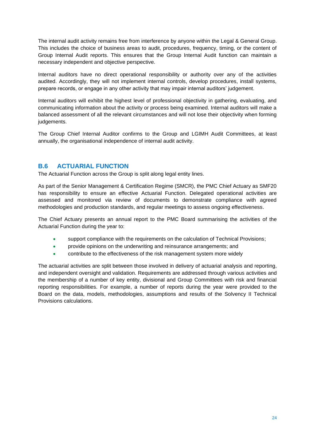The internal audit activity remains free from interference by anyone within the Legal & General Group. This includes the choice of business areas to audit, procedures, frequency, timing, or the content of Group Internal Audit reports. This ensures that the Group Internal Audit function can maintain a necessary independent and objective perspective.

Internal auditors have no direct operational responsibility or authority over any of the activities audited. Accordingly, they will not implement internal controls, develop procedures, install systems, prepare records, or engage in any other activity that may impair internal auditors' judgement.

Internal auditors will exhibit the highest level of professional objectivity in gathering, evaluating, and communicating information about the activity or process being examined. Internal auditors will make a balanced assessment of all the relevant circumstances and will not lose their objectivity when forming judgements.

The Group Chief Internal Auditor confirms to the Group and LGIMH Audit Committees, at least annually, the organisational independence of internal audit activity.

### <span id="page-23-0"></span>**B.6 ACTUARIAL FUNCTION**

The Actuarial Function across the Group is split along legal entity lines.

As part of the Senior Management & Certification Regime (SMCR), the PMC Chief Actuary as SMF20 has responsibility to ensure an effective Actuarial Function. Delegated operational activities are assessed and monitored via review of documents to demonstrate compliance with agreed methodologies and production standards, and regular meetings to assess ongoing effectiveness.

The Chief Actuary presents an annual report to the PMC Board summarising the activities of the Actuarial Function during the year to:

- support compliance with the requirements on the calculation of Technical Provisions;
- provide opinions on the underwriting and reinsurance arrangements; and
- contribute to the effectiveness of the risk management system more widely

The actuarial activities are split between those involved in delivery of actuarial analysis and reporting, and independent oversight and validation. Requirements are addressed through various activities and the membership of a number of key entity, divisional and Group Committees with risk and financial reporting responsibilities. For example, a number of reports during the year were provided to the Board on the data, models, methodologies, assumptions and results of the Solvency II Technical Provisions calculations.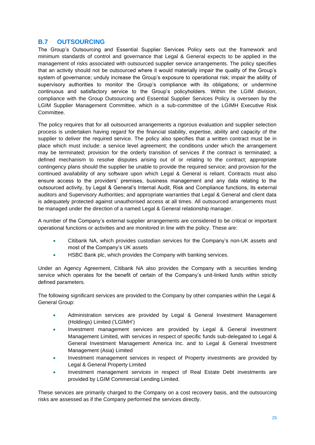### <span id="page-24-0"></span>**B.7 OUTSOURCING**

The Group's Outsourcing and Essential Supplier Services Policy sets out the framework and minimum standards of control and governance that Legal & General expects to be applied in the management of risks associated with outsourced supplier service arrangements. The policy specifies that an activity should not be outsourced where it would materially impair the quality of the Group's system of governance; unduly increase the Group's exposure to operational risk; impair the ability of supervisory authorities to monitor the Group's compliance with its obligations; or undermine continuous and satisfactory service to the Group's policyholders. Within the LGIM division, compliance with the Group Outsourcing and Essential Supplier Services Policy is overseen by the LGIM Supplier Management Committee, which is a sub-committee of the LGIMH Executive Risk Committee.

The policy requires that for all outsourced arrangements a rigorous evaluation and supplier selection process is undertaken having regard for the financial stability, expertise, ability and capacity of the supplier to deliver the required service. The policy also specifies that a written contract must be in place which must include: a service level agreement; the conditions under which the arrangement may be terminated; provision for the orderly transition of services if the contract is terminated; a defined mechanism to resolve disputes arising out of or relating to the contract; appropriate contingency plans should the supplier be unable to provide the required service; and provision for the continued availability of any software upon which Legal & General is reliant. Contracts must also ensure access to the providers' premises, business management and any data relating to the outsourced activity, by Legal & General's Internal Audit, Risk and Compliance functions, its external auditors and Supervisory Authorities; and appropriate warranties that Legal & General and client data is adequately protected against unauthorised access at all times. All outsourced arrangements must be managed under the direction of a named Legal & General relationship manager.

A number of the Company's external supplier arrangements are considered to be critical or important operational functions or activities and are monitored in line with the policy. These are:

- Citibank NA, which provides custodian services for the Company's non-UK assets and most of the Company's UK assets
- HSBC Bank plc, which provides the Company with banking services.

Under an Agency Agreement, Citibank NA also provides the Company with a securities lending service which operates for the benefit of certain of the Company's unit-linked funds within strictly defined parameters.

The following significant services are provided to the Company by other companies within the Legal & General Group:

- Administration services are provided by Legal & General Investment Management (Holdings) Limited ('LGIMH')
- Investment management services are provided by Legal & General Investment Management Limited, with services in respect of specific funds sub-delegated to Legal & General Investment Management America Inc. and to Legal & General Investment Management (Asia) Limited
- Investment management services in respect of Property investments are provided by Legal & General Property Limited
- Investment management services in respect of Real Estate Debt investments are provided by LGIM Commercial Lending Limited.

These services are primarily charged to the Company on a cost recovery basis, and the outsourcing risks are assessed as if the Company performed the services directly.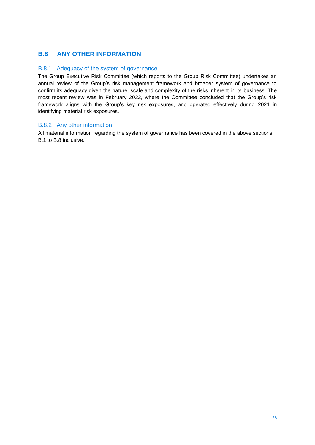# <span id="page-25-0"></span>**B.8 ANY OTHER INFORMATION**

#### B.8.1 Adequacy of the system of governance

The Group Executive Risk Committee (which reports to the Group Risk Committee) undertakes an annual review of the Group's risk management framework and broader system of governance to confirm its adequacy given the nature, scale and complexity of the risks inherent in its business. The most recent review was in February 2022, where the Committee concluded that the Group's risk framework aligns with the Group's key risk exposures, and operated effectively during 2021 in identifying material risk exposures.

#### B.8.2 Any other information

All material information regarding the system of governance has been covered in the above sections B.1 to B.8 inclusive.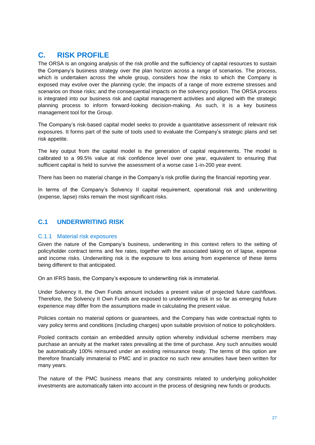# <span id="page-26-0"></span>**C. RISK PROFILE**

The ORSA is an ongoing analysis of the risk profile and the sufficiency of capital resources to sustain the Company's business strategy over the plan horizon across a range of scenarios. The process, which is undertaken across the whole group, considers how the risks to which the Company is exposed may evolve over the planning cycle; the impacts of a range of more extreme stresses and scenarios on those risks; and the consequential impacts on the solvency position. The ORSA process is integrated into our business risk and capital management activities and aligned with the strategic planning process to inform forward-looking decision-making. As such, it is a key business management tool for the Group.

The Company's risk-based capital model seeks to provide a quantitative assessment of relevant risk exposures. It forms part of the suite of tools used to evaluate the Company's strategic plans and set risk appetite.

The key output from the capital model is the generation of capital requirements. The model is calibrated to a 99.5% value at risk confidence level over one year, equivalent to ensuring that sufficient capital is held to survive the assessment of a worse case 1-in-200 year event.

There has been no material change in the Company's risk profile during the financial reporting year.

In terms of the Company's Solvency II capital requirement, operational risk and underwriting (expense, lapse) risks remain the most significant risks.

# <span id="page-26-1"></span>**C.1 UNDERWRITING RISK**

#### C.1.1 Material risk exposures

Given the nature of the Company's business, underwriting in this context refers to the setting of policyholder contract terms and fee rates, together with the associated taking on of lapse, expense and income risks. Underwriting risk is the exposure to loss arising from experience of these items being different to that anticipated.

On an IFRS basis, the Company's exposure to underwriting risk is immaterial.

Under Solvency II, the Own Funds amount includes a present value of projected future cashflows. Therefore, the Solvency II Own Funds are exposed to underwriting risk in so far as emerging future experience may differ from the assumptions made in calculating the present value.

Policies contain no material options or guarantees, and the Company has wide contractual rights to vary policy terms and conditions (including charges) upon suitable provision of notice to policyholders.

Pooled contracts contain an embedded annuity option whereby individual scheme members may purchase an annuity at the market rates prevailing at the time of purchase. Any such annuities would be automatically 100% reinsured under an existing reinsurance treaty. The terms of this option are therefore financially immaterial to PMC and in practice no such new annuities have been written for many years.

The nature of the PMC business means that any constraints related to underlying policyholder investments are automatically taken into account in the process of designing new funds or products.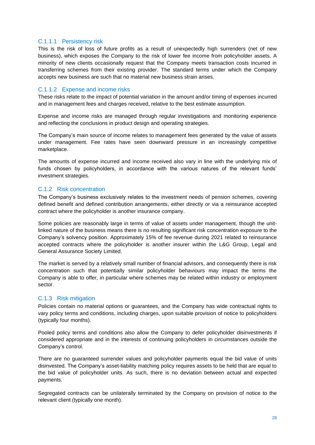#### C.1.1.1 Persistency risk

This is the risk of loss of future profits as a result of unexpectedly high surrenders (net of new business), which exposes the Company to the risk of lower fee income from policyholder assets. A minority of new clients occasionally request that the Company meets transaction costs incurred in transferring schemes from their existing provider. The standard terms under which the Company accepts new business are such that no material new business strain arises.

#### C.1.1.2 Expense and income risks

These risks relate to the impact of potential variation in the amount and/or timing of expenses incurred and in management fees and charges received, relative to the best estimate assumption.

Expense and income risks are managed through regular investigations and monitoring experience and reflecting the conclusions in product design and operating strategies.

The Company's main source of income relates to management fees generated by the value of assets under management. Fee rates have seen downward pressure in an increasingly competitive marketplace.

The amounts of expense incurred and income received also vary in line with the underlying mix of funds chosen by policyholders, in accordance with the various natures of the relevant funds' investment strategies.

#### C.1.2 Risk concentration

The Company's business exclusively relates to the investment needs of pension schemes, covering defined benefit and defined contribution arrangements, either directly or via a reinsurance accepted contract where the policyholder is another insurance company.

Some policies are reasonably large in terms of value of assets under management, though the unitlinked nature of the business means there is no resulting significant risk concentration exposure to the Company's solvency position. Approximately 15% of fee revenue during 2021 related to reinsurance accepted contracts where the policyholder is another insurer within the L&G Group, Legal and General Assurance Society Limited.

The market is served by a relatively small number of financial advisors, and consequently there is risk concentration such that potentially similar policyholder behaviours may impact the terms the Company is able to offer, in particular where schemes may be related within industry or employment sector.

#### C.1.3 Risk mitigation

Policies contain no material options or guarantees, and the Company has wide contractual rights to vary policy terms and conditions, including charges, upon suitable provision of notice to policyholders (typically four months).

Pooled policy terms and conditions also allow the Company to defer policyholder disinvestments if considered appropriate and in the interests of continuing policyholders in circumstances outside the Company's control.

There are no guaranteed surrender values and policyholder payments equal the bid value of units disinvested. The Company's asset-liability matching policy requires assets to be held that are equal to the bid value of policyholder units. As such, there is no deviation between actual and expected payments.

Segregated contracts can be unilaterally terminated by the Company on provision of notice to the relevant client (typically one month).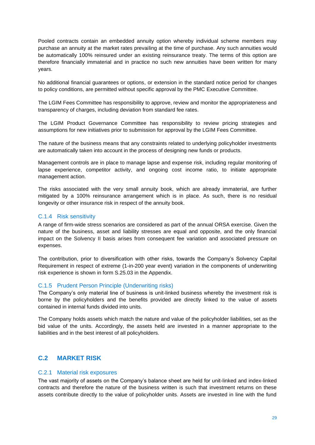Pooled contracts contain an embedded annuity option whereby individual scheme members may purchase an annuity at the market rates prevailing at the time of purchase. Any such annuities would be automatically 100% reinsured under an existing reinsurance treaty. The terms of this option are therefore financially immaterial and in practice no such new annuities have been written for many years.

No additional financial guarantees or options, or extension in the standard notice period for changes to policy conditions, are permitted without specific approval by the PMC Executive Committee.

The LGIM Fees Committee has responsibility to approve, review and monitor the appropriateness and transparency of charges, including deviation from standard fee rates.

The LGIM Product Governance Committee has responsibility to review pricing strategies and assumptions for new initiatives prior to submission for approval by the LGIM Fees Committee.

The nature of the business means that any constraints related to underlying policyholder investments are automatically taken into account in the process of designing new funds or products.

Management controls are in place to manage lapse and expense risk, including regular monitoring of lapse experience, competitor activity, and ongoing cost income ratio, to initiate appropriate management action.

The risks associated with the very small annuity book, which are already immaterial, are further mitigated by a 100% reinsurance arrangement which is in place. As such, there is no residual longevity or other insurance risk in respect of the annuity book.

#### C.1.4 Risk sensitivity

A range of firm-wide stress scenarios are considered as part of the annual ORSA exercise. Given the nature of the business, asset and liability stresses are equal and opposite, and the only financial impact on the Solvency II basis arises from consequent fee variation and associated pressure on expenses.

The contribution, prior to diversification with other risks, towards the Company's Solvency Capital Requirement in respect of extreme (1-in-200 year event) variation in the components of underwriting risk experience is shown in form S.25.03 in the Appendix.

#### C.1.5 Prudent Person Principle (Underwriting risks)

The Company's only material line of business is unit-linked business whereby the investment risk is borne by the policyholders and the benefits provided are directly linked to the value of assets contained in internal funds divided into units.

The Company holds assets which match the nature and value of the policyholder liabilities, set as the bid value of the units. Accordingly, the assets held are invested in a manner appropriate to the liabilities and in the best interest of all policyholders.

# <span id="page-28-0"></span>**C.2 MARKET RISK**

#### C.2.1 Material risk exposures

The vast majority of assets on the Company's balance sheet are held for unit-linked and index-linked contracts and therefore the nature of the business written is such that investment returns on these assets contribute directly to the value of policyholder units. Assets are invested in line with the fund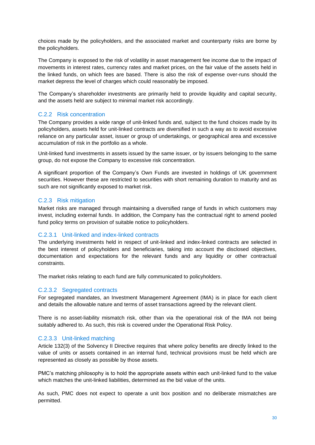choices made by the policyholders, and the associated market and counterparty risks are borne by the policyholders.

The Company is exposed to the risk of volatility in asset management fee income due to the impact of movements in interest rates, currency rates and market prices, on the fair value of the assets held in the linked funds, on which fees are based. There is also the risk of expense over-runs should the market depress the level of charges which could reasonably be imposed.

The Company's shareholder investments are primarily held to provide liquidity and capital security, and the assets held are subject to minimal market risk accordingly.

#### C.2.2 Risk concentration

The Company provides a wide range of unit-linked funds and, subject to the fund choices made by its policyholders, assets held for unit-linked contracts are diversified in such a way as to avoid excessive reliance on any particular asset, issuer or group of undertakings, or geographical area and excessive accumulation of risk in the portfolio as a whole.

Unit-linked fund investments in assets issued by the same issuer, or by issuers belonging to the same group, do not expose the Company to excessive risk concentration.

A significant proportion of the Company's Own Funds are invested in holdings of UK government securities. However these are restricted to securities with short remaining duration to maturity and as such are not significantly exposed to market risk.

#### C.2.3 Risk mitigation

Market risks are managed through maintaining a diversified range of funds in which customers may invest, including external funds. In addition, the Company has the contractual right to amend pooled fund policy terms on provision of suitable notice to policyholders.

#### C.2.3.1 Unit-linked and index-linked contracts

The underlying investments held in respect of unit-linked and index-linked contracts are selected in the best interest of policyholders and beneficiaries, taking into account the disclosed objectives, documentation and expectations for the relevant funds and any liquidity or other contractual constraints.

The market risks relating to each fund are fully communicated to policyholders.

#### C.2.3.2 Segregated contracts

For segregated mandates, an Investment Management Agreement (IMA) is in place for each client and details the allowable nature and terms of asset transactions agreed by the relevant client.

There is no asset-liability mismatch risk, other than via the operational risk of the IMA not being suitably adhered to. As such, this risk is covered under the Operational Risk Policy.

#### C.2.3.3 Unit-linked matching

Article 132(3) of the Solvency II Directive requires that where policy benefits are directly linked to the value of units or assets contained in an internal fund, technical provisions must be held which are represented as closely as possible by those assets.

PMC's matching philosophy is to hold the appropriate assets within each unit-linked fund to the value which matches the unit-linked liabilities, determined as the bid value of the units.

As such, PMC does not expect to operate a unit box position and no deliberate mismatches are permitted.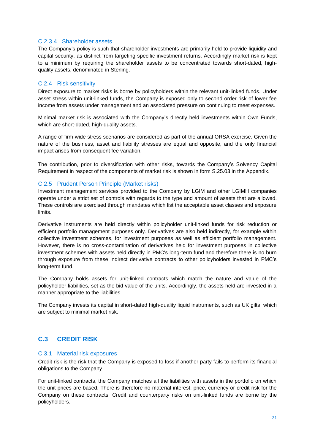#### C.2.3.4 Shareholder assets

The Company's policy is such that shareholder investments are primarily held to provide liquidity and capital security, as distinct from targeting specific investment returns. Accordingly market risk is kept to a minimum by requiring the shareholder assets to be concentrated towards short-dated, highquality assets, denominated in Sterling.

#### C.2.4 Risk sensitivity

Direct exposure to market risks is borne by policyholders within the relevant unit-linked funds. Under asset stress within unit-linked funds, the Company is exposed only to second order risk of lower fee income from assets under management and an associated pressure on continuing to meet expenses.

Minimal market risk is associated with the Company's directly held investments within Own Funds, which are short-dated, high-quality assets.

A range of firm-wide stress scenarios are considered as part of the annual ORSA exercise. Given the nature of the business, asset and liability stresses are equal and opposite, and the only financial impact arises from consequent fee variation.

The contribution, prior to diversification with other risks, towards the Company's Solvency Capital Requirement in respect of the components of market risk is shown in form S.25.03 in the Appendix.

#### C.2.5 Prudent Person Principle (Market risks)

Investment management services provided to the Company by LGIM and other LGIMH companies operate under a strict set of controls with regards to the type and amount of assets that are allowed. These controls are exercised through mandates which list the acceptable asset classes and exposure limits.

Derivative instruments are held directly within policyholder unit-linked funds for risk reduction or efficient portfolio management purposes only. Derivatives are also held indirectly, for example within collective investment schemes, for investment purposes as well as efficient portfolio management. However, there is no cross-contamination of derivatives held for investment purposes in collective investment schemes with assets held directly in PMC's long-term fund and therefore there is no burn through exposure from these indirect derivative contracts to other policyholders invested in PMC's long-term fund.

The Company holds assets for unit-linked contracts which match the nature and value of the policyholder liabilities, set as the bid value of the units. Accordingly, the assets held are invested in a manner appropriate to the liabilities.

The Company invests its capital in short-dated high-quality liquid instruments, such as UK gilts, which are subject to minimal market risk.

# <span id="page-30-0"></span>**C.3 CREDIT RISK**

#### C.3.1 Material risk exposures

Credit risk is the risk that the Company is exposed to loss if another party fails to perform its financial obligations to the Company.

For unit-linked contracts, the Company matches all the liabilities with assets in the portfolio on which the unit prices are based. There is therefore no material interest, price, currency or credit risk for the Company on these contracts. Credit and counterparty risks on unit-linked funds are borne by the policyholders.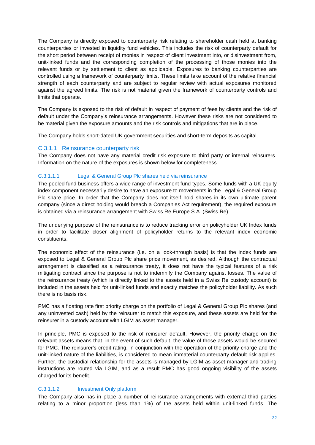The Company is directly exposed to counterparty risk relating to shareholder cash held at banking counterparties or invested in liquidity fund vehicles. This includes the risk of counterparty default for the short period between receipt of monies in respect of client investment into, or disinvestment from, unit-linked funds and the corresponding completion of the processing of those monies into the relevant funds or by settlement to client as applicable. Exposures to banking counterparties are controlled using a framework of counterparty limits. These limits take account of the relative financial strength of each counterparty and are subject to regular review with actual exposures monitored against the agreed limits. The risk is not material given the framework of counterparty controls and limits that operate.

The Company is exposed to the risk of default in respect of payment of fees by clients and the risk of default under the Company's reinsurance arrangements. However these risks are not considered to be material given the exposure amounts and the risk controls and mitigations that are in place.

The Company holds short-dated UK government securities and short-term deposits as capital.

#### C.3.1.1 Reinsurance counterparty risk

The Company does not have any material credit risk exposure to third party or internal reinsurers. Information on the nature of the exposures is shown below for completeness.

#### C.3.1.1.1 Legal & General Group Plc shares held via reinsurance

The pooled fund business offers a wide range of investment fund types. Some funds with a UK equity index component necessarily desire to have an exposure to movements in the Legal & General Group Plc share price. In order that the Company does not itself hold shares in its own ultimate parent company (since a direct holding would breach a Companies Act requirement), the required exposure is obtained via a reinsurance arrangement with Swiss Re Europe S.A. (Swiss Re).

The underlying purpose of the reinsurance is to reduce tracking error on policyholder UK Index funds in order to facilitate closer alignment of policyholder returns to the relevant index economic constituents.

The economic effect of the reinsurance (i.e. on a look-through basis) is that the index funds are exposed to Legal & General Group Plc share price movement, as desired. Although the contractual arrangement is classified as a reinsurance treaty, it does not have the typical features of a risk mitigating contract since the purpose is not to indemnify the Company against losses. The value of the reinsurance treaty (which is directly linked to the assets held in a Swiss Re custody account) is included in the assets held for unit-linked funds and exactly matches the policyholder liability. As such there is no basis risk.

PMC has a floating rate first priority charge on the portfolio of Legal & General Group Plc shares (and any uninvested cash) held by the reinsurer to match this exposure, and these assets are held for the reinsurer in a custody account with LGIM as asset manager.

In principle, PMC is exposed to the risk of reinsurer default. However, the priority charge on the relevant assets means that, in the event of such default, the value of those assets would be secured for PMC. The reinsurer's credit rating, in conjunction with the operation of the priority charge and the unit-linked nature of the liabilities, is considered to mean immaterial counterparty default risk applies. Further, the custodial relationship for the assets is managed by LGIM as asset manager and trading instructions are routed via LGIM, and as a result PMC has good ongoing visibility of the assets charged for its benefit.

#### C.3.1.1.2 Investment Only platform

The Company also has in place a number of reinsurance arrangements with external third parties relating to a minor proportion (less than 1%) of the assets held within unit-linked funds. The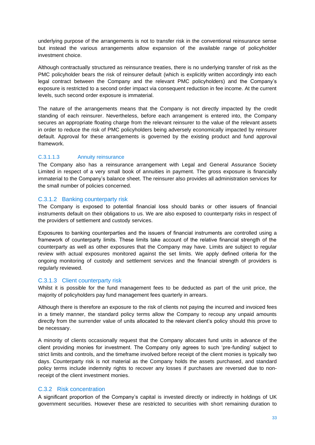underlying purpose of the arrangements is not to transfer risk in the conventional reinsurance sense but instead the various arrangements allow expansion of the available range of policyholder investment choice.

Although contractually structured as reinsurance treaties, there is no underlying transfer of risk as the PMC policyholder bears the risk of reinsurer default (which is explicitly written accordingly into each legal contract between the Company and the relevant PMC policyholders) and the Company's exposure is restricted to a second order impact via consequent reduction in fee income. At the current levels, such second order exposure is immaterial.

The nature of the arrangements means that the Company is not directly impacted by the credit standing of each reinsurer. Nevertheless, before each arrangement is entered into, the Company secures an appropriate floating charge from the relevant reinsurer to the value of the relevant assets in order to reduce the risk of PMC policyholders being adversely economically impacted by reinsurer default. Approval for these arrangements is governed by the existing product and fund approval framework.

#### C.3.1.1.3 Annuity reinsurance

The Company also has a reinsurance arrangement with Legal and General Assurance Society Limited in respect of a very small book of annuities in payment. The gross exposure is financially immaterial to the Company's balance sheet. The reinsurer also provides all administration services for the small number of policies concerned.

#### C.3.1.2 Banking counterparty risk

The Company is exposed to potential financial loss should banks or other issuers of financial instruments default on their obligations to us. We are also exposed to counterparty risks in respect of the providers of settlement and custody services.

Exposures to banking counterparties and the issuers of financial instruments are controlled using a framework of counterparty limits. These limits take account of the relative financial strength of the counterparty as well as other exposures that the Company may have. Limits are subject to regular review with actual exposures monitored against the set limits. We apply defined criteria for the ongoing monitoring of custody and settlement services and the financial strength of providers is regularly reviewed.

#### C.3.1.3 Client counterparty risk

Whilst it is possible for the fund management fees to be deducted as part of the unit price, the majority of policyholders pay fund management fees quarterly in arrears.

Although there is therefore an exposure to the risk of clients not paying the incurred and invoiced fees in a timely manner, the standard policy terms allow the Company to recoup any unpaid amounts directly from the surrender value of units allocated to the relevant client's policy should this prove to be necessary.

A minority of clients occasionally request that the Company allocates fund units in advance of the client providing monies for investment. The Company only agrees to such 'pre-funding' subject to strict limits and controls, and the timeframe involved before receipt of the client monies is typically two days. Counterparty risk is not material as the Company holds the assets purchased, and standard policy terms include indemnity rights to recover any losses if purchases are reversed due to nonreceipt of the client investment monies.

#### C.3.2 Risk concentration

A significant proportion of the Company's capital is invested directly or indirectly in holdings of UK government securities. However these are restricted to securities with short remaining duration to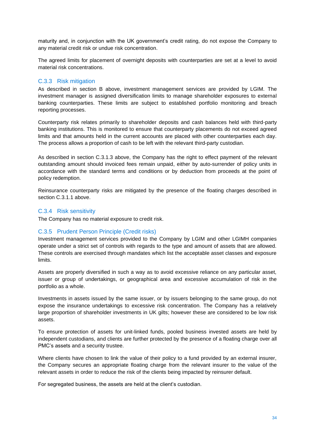maturity and, in conjunction with the UK government's credit rating, do not expose the Company to any material credit risk or undue risk concentration.

The agreed limits for placement of overnight deposits with counterparties are set at a level to avoid material risk concentrations.

#### C.3.3 Risk mitigation

As described in section B above, investment management services are provided by LGIM. The investment manager is assigned diversification limits to manage shareholder exposures to external banking counterparties. These limits are subject to established portfolio monitoring and breach reporting processes.

Counterparty risk relates primarily to shareholder deposits and cash balances held with third-party banking institutions. This is monitored to ensure that counterparty placements do not exceed agreed limits and that amounts held in the current accounts are placed with other counterparties each day. The process allows a proportion of cash to be left with the relevant third-party custodian.

As described in section C.3.1.3 above, the Company has the right to effect payment of the relevant outstanding amount should invoiced fees remain unpaid, either by auto-surrender of policy units in accordance with the standard terms and conditions or by deduction from proceeds at the point of policy redemption.

Reinsurance counterparty risks are mitigated by the presence of the floating charges described in section C.3.1.1 above.

#### C.3.4 Risk sensitivity

The Company has no material exposure to credit risk.

#### C.3.5 Prudent Person Principle (Credit risks)

Investment management services provided to the Company by LGIM and other LGIMH companies operate under a strict set of controls with regards to the type and amount of assets that are allowed. These controls are exercised through mandates which list the acceptable asset classes and exposure limits.

Assets are properly diversified in such a way as to avoid excessive reliance on any particular asset, issuer or group of undertakings, or geographical area and excessive accumulation of risk in the portfolio as a whole.

Investments in assets issued by the same issuer, or by issuers belonging to the same group, do not expose the insurance undertakings to excessive risk concentration. The Company has a relatively large proportion of shareholder investments in UK gilts; however these are considered to be low risk assets.

To ensure protection of assets for unit-linked funds, pooled business invested assets are held by independent custodians, and clients are further protected by the presence of a floating charge over all PMC's assets and a security trustee.

Where clients have chosen to link the value of their policy to a fund provided by an external insurer, the Company secures an appropriate floating charge from the relevant insurer to the value of the relevant assets in order to reduce the risk of the clients being impacted by reinsurer default.

For segregated business, the assets are held at the client's custodian.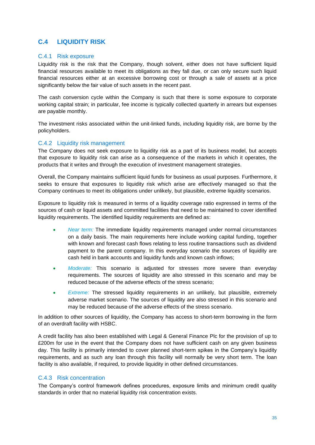# <span id="page-34-0"></span>**C.4 LIQUIDITY RISK**

#### C.4.1 Risk exposure

Liquidity risk is the risk that the Company, though solvent, either does not have sufficient liquid financial resources available to meet its obligations as they fall due, or can only secure such liquid financial resources either at an excessive borrowing cost or through a sale of assets at a price significantly below the fair value of such assets in the recent past.

The cash conversion cycle within the Company is such that there is some exposure to corporate working capital strain; in particular, fee income is typically collected quarterly in arrears but expenses are payable monthly.

The investment risks associated within the unit-linked funds, including liquidity risk, are borne by the policyholders.

#### C.4.2 Liquidity risk management

The Company does not seek exposure to liquidity risk as a part of its business model, but accepts that exposure to liquidity risk can arise as a consequence of the markets in which it operates, the products that it writes and through the execution of investment management strategies.

Overall, the Company maintains sufficient liquid funds for business as usual purposes. Furthermore, it seeks to ensure that exposures to liquidity risk which arise are effectively managed so that the Company continues to meet its obligations under unlikely, but plausible, extreme liquidity scenarios.

Exposure to liquidity risk is measured in terms of a liquidity coverage ratio expressed in terms of the sources of cash or liquid assets and committed facilities that need to be maintained to cover identified liquidity requirements. The identified liquidity requirements are defined as:

- *Near term:* The immediate liquidity requirements managed under normal circumstances on a daily basis. The main requirements here include working capital funding, together with known and forecast cash flows relating to less routine transactions such as dividend payment to the parent company. In this everyday scenario the sources of liquidity are cash held in bank accounts and liquidity funds and known cash inflows;
- *Moderate:* This scenario is adjusted for stresses more severe than everyday requirements. The sources of liquidity are also stressed in this scenario and may be reduced because of the adverse effects of the stress scenario;
- *Extreme:* The stressed liquidity requirements in an unlikely, but plausible, extremely adverse market scenario. The sources of liquidity are also stressed in this scenario and may be reduced because of the adverse effects of the stress scenario.

In addition to other sources of liquidity, the Company has access to short-term borrowing in the form of an overdraft facility with HSBC.

A credit facility has also been established with Legal & General Finance Plc for the provision of up to £200m for use in the event that the Company does not have sufficient cash on any given business day. This facility is primarily intended to cover planned short-term spikes in the Company's liquidity requirements, and as such any loan through this facility will normally be very short term. The loan facility is also available, if required, to provide liquidity in other defined circumstances.

#### C.4.3 Risk concentration

The Company's control framework defines procedures, exposure limits and minimum credit quality standards in order that no material liquidity risk concentration exists.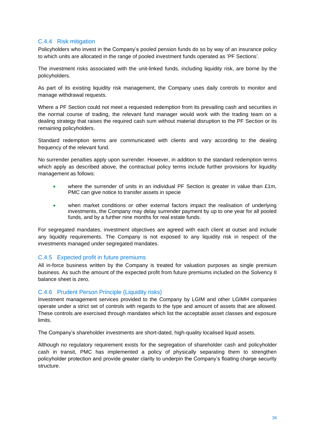#### C.4.4 Risk mitigation

Policyholders who invest in the Company's pooled pension funds do so by way of an insurance policy to which units are allocated in the range of pooled investment funds operated as 'PF Sections'.

The investment risks associated with the unit-linked funds, including liquidity risk, are borne by the policyholders.

As part of its existing liquidity risk management, the Company uses daily controls to monitor and manage withdrawal requests.

Where a PF Section could not meet a requested redemption from its prevailing cash and securities in the normal course of trading, the relevant fund manager would work with the trading team on a dealing strategy that raises the required cash sum without material disruption to the PF Section or its remaining policyholders.

Standard redemption terms are communicated with clients and vary according to the dealing frequency of the relevant fund.

No surrender penalties apply upon surrender. However, in addition to the standard redemption terms which apply as described above, the contractual policy terms include further provisions for liquidity management as follows:

- where the surrender of units in an individual PF Section is greater in value than  $£1m$ , PMC can give notice to transfer assets in specie
- when market conditions or other external factors impact the realisation of underlying investments, the Company may delay surrender payment by up to one year for all pooled funds, and by a further nine months for real estate funds.

For segregated mandates, investment objectives are agreed with each client at outset and include any liquidity requirements. The Company is not exposed to any liquidity risk in respect of the investments managed under segregated mandates.

#### C.4.5 Expected profit in future premiums

All in-force business written by the Company is treated for valuation purposes as single premium business. As such the amount of the expected profit from future premiums included on the Solvency II balance sheet is zero.

#### C.4.6 Prudent Person Principle (Liquidity risks)

Investment management services provided to the Company by LGIM and other LGIMH companies operate under a strict set of controls with regards to the type and amount of assets that are allowed. These controls are exercised through mandates which list the acceptable asset classes and exposure limits.

The Company's shareholder investments are short-dated, high-quality localised liquid assets.

Although no regulatory requirement exists for the segregation of shareholder cash and policyholder cash in transit, PMC has implemented a policy of physically separating them to strengthen policyholder protection and provide greater clarity to underpin the Company's floating charge security structure.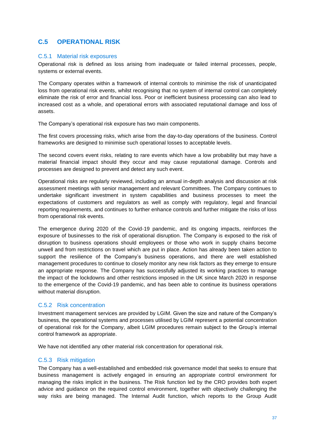# <span id="page-36-0"></span>**C.5 OPERATIONAL RISK**

#### C.5.1 Material risk exposures

Operational risk is defined as loss arising from inadequate or failed internal processes, people, systems or external events.

The Company operates within a framework of internal controls to minimise the risk of unanticipated loss from operational risk events, whilst recognising that no system of internal control can completely eliminate the risk of error and financial loss. Poor or inefficient business processing can also lead to increased cost as a whole, and operational errors with associated reputational damage and loss of assets.

The Company's operational risk exposure has two main components.

The first covers processing risks, which arise from the day-to-day operations of the business. Control frameworks are designed to minimise such operational losses to acceptable levels.

The second covers event risks, relating to rare events which have a low probability but may have a material financial impact should they occur and may cause reputational damage. Controls and processes are designed to prevent and detect any such event.

Operational risks are regularly reviewed, including an annual in-depth analysis and discussion at risk assessment meetings with senior management and relevant Committees. The Company continues to undertake significant investment in system capabilities and business processes to meet the expectations of customers and regulators as well as comply with regulatory, legal and financial reporting requirements, and continues to further enhance controls and further mitigate the risks of loss from operational risk events.

The emergence during 2020 of the Covid-19 pandemic, and its ongoing impacts, reinforces the exposure of businesses to the risk of operational disruption. The Company is exposed to the risk of disruption to business operations should employees or those who work in supply chains become unwell and from restrictions on travel which are put in place. Action has already been taken action to support the resilience of the Company's business operations, and there are well established management procedures to continue to closely monitor any new risk factors as they emerge to ensure an appropriate response. The Company has successfully adjusted its working practices to manage the impact of the lockdowns and other restrictions imposed in the UK since March 2020 in response to the emergence of the Covid-19 pandemic, and has been able to continue its business operations without material disruption.

#### C.5.2 Risk concentration

Investment management services are provided by LGIM. Given the size and nature of the Company's business, the operational systems and processes utilised by LGIM represent a potential concentration of operational risk for the Company, albeit LGIM procedures remain subject to the Group's internal control framework as appropriate.

We have not identified any other material risk concentration for operational risk.

#### C.5.3 Risk mitigation

The Company has a well-established and embedded risk governance model that seeks to ensure that business management is actively engaged in ensuring an appropriate control environment for managing the risks implicit in the business. The Risk function led by the CRO provides both expert advice and guidance on the required control environment, together with objectively challenging the way risks are being managed. The Internal Audit function, which reports to the Group Audit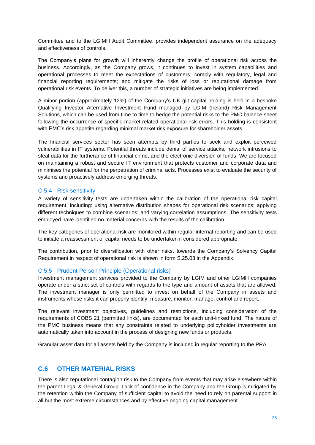Committee and to the LGIMH Audit Committee, provides independent assurance on the adequacy and effectiveness of controls.

The Company's plans for growth will inherently change the profile of operational risk across the business. Accordingly, as the Company grows, it continues to invest in system capabilities and operational processes to meet the expectations of customers; comply with regulatory, legal and financial reporting requirements; and mitigate the risks of loss or reputational damage from operational risk events. To deliver this, a number of strategic initiatives are being implemented.

A minor portion (approximately 12%) of the Company's UK gilt capital holding is held in a bespoke Qualifying Investor Alternative Investment Fund managed by LGIM (Ireland) Risk Management Solutions, which can be used from time to time to hedge the potential risks to the PMC balance sheet following the occurrence of specific market-related operational risk errors. This holding is consistent with PMC's risk appetite regarding minimal market risk exposure for shareholder assets.

The financial services sector has seen attempts by third parties to seek and exploit perceived vulnerabilities in IT systems. Potential threats include denial of service attacks, network intrusions to steal data for the furtherance of financial crime, and the electronic diversion of funds. We are focused on maintaining a robust and secure IT environment that protects customer and corporate data and minimises the potential for the perpetration of criminal acts. Processes exist to evaluate the security of systems and proactively address emerging threats.

#### C.5.4 Risk sensitivity

A variety of sensitivity tests are undertaken within the calibration of the operational risk capital requirement, including: using alternative distribution shapes for operational risk scenarios; applying different techniques to combine scenarios; and varying correlation assumptions. The sensitivity tests employed have identified no material concerns with the results of the calibration.

The key categories of operational risk are monitored within regular internal reporting and can be used to initiate a reassessment of capital needs to be undertaken if considered appropriate.

The contribution, prior to diversification with other risks, towards the Company's Solvency Capital Requirement in respect of operational risk is shown in form S.25.03 in the Appendix.

#### C.5.5 Prudent Person Principle (Operational risks)

Investment management services provided to the Company by LGIM and other LGIMH companies operate under a strict set of controls with regards to the type and amount of assets that are allowed. The investment manager is only permitted to invest on behalf of the Company in assets and instruments whose risks it can properly identify, measure, monitor, manage, control and report.

The relevant investment objectives, guidelines and restrictions, including consideration of the requirements of COBS 21 (permitted links), are documented for each unit-linked fund. The nature of the PMC business means that any constraints related to underlying policyholder investments are automatically taken into account in the process of designing new funds or products.

Granular asset data for all assets held by the Company is included in regular reporting to the PRA.

# <span id="page-37-0"></span>**C.6 OTHER MATERIAL RISKS**

There is also reputational contagion risk to the Company from events that may arise elsewhere within the parent Legal & General Group. Lack of confidence in the Company and the Group is mitigated by the retention within the Company of sufficient capital to avoid the need to rely on parental support in all but the most extreme circumstances and by effective ongoing capital management.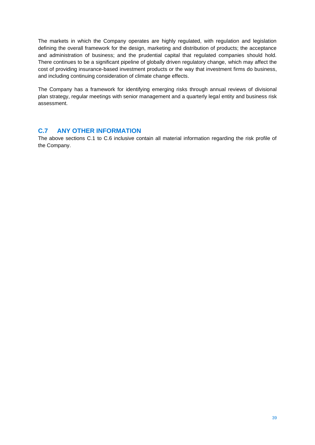The markets in which the Company operates are highly regulated, with regulation and legislation defining the overall framework for the design, marketing and distribution of products; the acceptance and administration of business; and the prudential capital that regulated companies should hold. There continues to be a significant pipeline of globally driven regulatory change, which may affect the cost of providing insurance-based investment products or the way that investment firms do business, and including continuing consideration of climate change effects.

The Company has a framework for identifying emerging risks through annual reviews of divisional plan strategy, regular meetings with senior management and a quarterly legal entity and business risk assessment.

### <span id="page-38-0"></span>**C.7 ANY OTHER INFORMATION**

The above sections C.1 to C.6 inclusive contain all material information regarding the risk profile of the Company.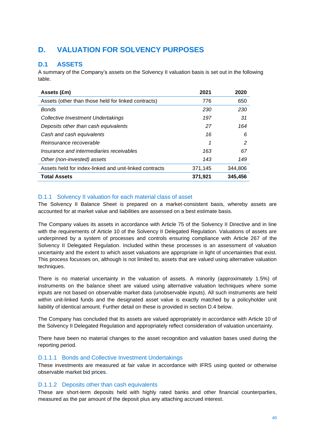# <span id="page-39-0"></span>**D. VALUATION FOR SOLVENCY PURPOSES**

# <span id="page-39-1"></span>**D.1 ASSETS**

A summary of the Company's assets on the Solvency II valuation basis is set out in the following table.

| Assets (£m)                                            | 2021    | 2020    |
|--------------------------------------------------------|---------|---------|
| Assets (other than those held for linked contracts)    | 776     | 650     |
| <b>Bonds</b>                                           | 230     | 230     |
| Collective Investment Undertakings                     | 197     | 31      |
| Deposits other than cash equivalents                   | 27      | 164     |
| Cash and cash equivalents                              | 16      | 6       |
| Reinsurance recoverable                                | 1       | 2       |
| Insurance and intermediaries receivables               | 163     | 67      |
| Other (non-invested) assets                            | 143     | 149     |
| Assets held for index-linked and unit-linked contracts | 371,145 | 344.806 |
| <b>Total Assets</b>                                    | 371,921 | 345,456 |

#### D.1.1 Solvency II valuation for each material class of asset

The Solvency II Balance Sheet is prepared on a market-consistent basis, whereby assets are accounted for at market value and liabilities are assessed on a best estimate basis.

The Company values its assets in accordance with Article 75 of the Solvency II Directive and in line with the requirements of Article 10 of the Solvency II Delegated Regulation. Valuations of assets are underpinned by a system of processes and controls ensuring compliance with Article 267 of the Solvency II Delegated Regulation. Included within these processes is an assessment of valuation uncertainty and the extent to which asset valuations are appropriate in light of uncertainties that exist. This process focusses on, although is not limited to, assets that are valued using alternative valuation techniques.

There is no material uncertainty in the valuation of assets. A minority (approximately 1.5%) of instruments on the balance sheet are valued using alternative valuation techniques where some inputs are not based on observable market data (unobservable inputs). All such instruments are held within unit-linked funds and the designated asset value is exactly matched by a policyholder unit liability of identical amount. Further detail on these is provided in section D.4 below.

The Company has concluded that its assets are valued appropriately in accordance with Article 10 of the Solvency II Delegated Regulation and appropriately reflect consideration of valuation uncertainty.

There have been no material changes to the asset recognition and valuation bases used during the reporting period.

#### D.1.1.1 Bonds and Collective Investment Undertakings

These investments are measured at fair value in accordance with IFRS using quoted or otherwise observable market bid prices.

#### D.1.1.2 Deposits other than cash equivalents

These are short-term deposits held with highly rated banks and other financial counterparties, measured as the par amount of the deposit plus any attaching accrued interest.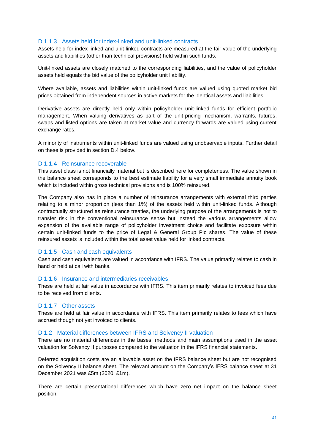#### D.1.1.3 Assets held for index-linked and unit-linked contracts

Assets held for index-linked and unit-linked contracts are measured at the fair value of the underlying assets and liabilities (other than technical provisions) held within such funds.

Unit-linked assets are closely matched to the corresponding liabilities, and the value of policyholder assets held equals the bid value of the policyholder unit liability.

Where available, assets and liabilities within unit-linked funds are valued using quoted market bid prices obtained from independent sources in active markets for the identical assets and liabilities.

Derivative assets are directly held only within policyholder unit-linked funds for efficient portfolio management. When valuing derivatives as part of the unit-pricing mechanism, warrants, futures, swaps and listed options are taken at market value and currency forwards are valued using current exchange rates.

A minority of instruments within unit-linked funds are valued using unobservable inputs. Further detail on these is provided in section D.4 below.

#### D.1.1.4 Reinsurance recoverable

This asset class is not financially material but is described here for completeness. The value shown in the balance sheet corresponds to the best estimate liability for a very small immediate annuity book which is included within gross technical provisions and is 100% reinsured.

The Company also has in place a number of reinsurance arrangements with external third parties relating to a minor proportion (less than 1%) of the assets held within unit-linked funds. Although contractually structured as reinsurance treaties, the underlying purpose of the arrangements is not to transfer risk in the conventional reinsurance sense but instead the various arrangements allow expansion of the available range of policyholder investment choice and facilitate exposure within certain unit-linked funds to the price of Legal & General Group Plc shares. The value of these reinsured assets is included within the total asset value held for linked contracts.

#### D.1.1.5 Cash and cash equivalents

Cash and cash equivalents are valued in accordance with IFRS. The value primarily relates to cash in hand or held at call with banks.

#### D.1.1.6 Insurance and intermediaries receivables

These are held at fair value in accordance with IFRS. This item primarily relates to invoiced fees due to be received from clients.

#### D.1.1.7 Other assets

These are held at fair value in accordance with IFRS. This item primarily relates to fees which have accrued though not yet invoiced to clients.

#### D.1.2 Material differences between IFRS and Solvency II valuation

There are no material differences in the bases, methods and main assumptions used in the asset valuation for Solvency II purposes compared to the valuation in the IFRS financial statements.

Deferred acquisition costs are an allowable asset on the IFRS balance sheet but are not recognised on the Solvency II balance sheet. The relevant amount on the Company's IFRS balance sheet at 31 December 2021 was £5m (2020: £1m).

There are certain presentational differences which have zero net impact on the balance sheet position.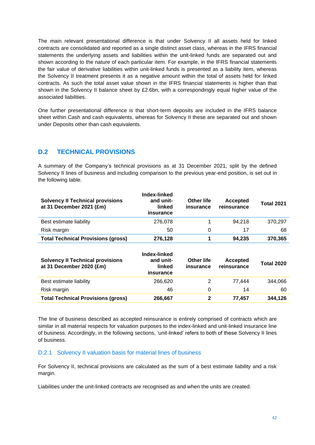The main relevant presentational difference is that under Solvency II all assets held for linked contracts are consolidated and reported as a single distinct asset class, whereas in the IFRS financial statements the underlying assets and liabilities within the unit-linked funds are separated out and shown according to the nature of each particular item. For example, in the IFRS financial statements the fair value of derivative liabilities within unit-linked funds is presented as a liability item, whereas the Solvency II treatment presents it as a negative amount within the total of assets held for linked contracts. As such the total asset value shown in the IFRS financial statements is higher than that shown in the Solvency II balance sheet by £2.6bn, with a correspondingly equal higher value of the associated liabilities.

One further presentational difference is that short-term deposits are included in the IFRS balance sheet within Cash and cash equivalents, whereas for Solvency II these are separated out and shown under Deposits other than cash equivalents.

# <span id="page-41-0"></span>**D.2 TECHNICAL PROVISIONS**

A summary of the Company's technical provisions as at 31 December 2021, split by the defined Solvency II lines of business and including comparison to the previous year-end position, is set out in the following table.

| <b>Solvency II Technical provisions</b><br>at 31 December 2021 (£m) | Index-linked<br>and unit-<br>linked<br>insurance | <b>Other life</b><br>insurance | Accepted<br>reinsurance | <b>Total 2021</b> |
|---------------------------------------------------------------------|--------------------------------------------------|--------------------------------|-------------------------|-------------------|
| Best estimate liability                                             | 276,078                                          |                                | 94.218                  | 370,297           |
| Risk margin                                                         | 50                                               | 0                              | 17                      | 68                |
| <b>Total Technical Provisions (gross)</b>                           | 276,128                                          |                                | 94.235                  | 370,365           |

| <b>Solvency II Technical provisions</b><br>at 31 December 2020 (£m) | Index-linked<br>and unit-<br>linked<br>insurance | <b>Other life</b><br>insurance | Accepted<br>reinsurance | <b>Total 2020</b> |
|---------------------------------------------------------------------|--------------------------------------------------|--------------------------------|-------------------------|-------------------|
| Best estimate liability                                             | 266.620                                          | 2                              | 77.444                  | 344.066           |
| Risk margin                                                         | 46                                               | 0                              | 14                      | 60                |
| <b>Total Technical Provisions (gross)</b>                           | 266,667                                          |                                | 77.457                  | 344.126           |

The line of business described as accepted reinsurance is entirely comprised of contracts which are similar in all material respects for valuation purposes to the index-linked and unit-linked insurance line of business. Accordingly, in the following sections, 'unit-linked' refers to both of these Solvency II lines of business.

#### D.2.1 Solvency II valuation basis for material lines of business

For Solvency II, technical provisions are calculated as the sum of a best estimate liability and a risk margin.

Liabilities under the unit-linked contracts are recognised as and when the units are created.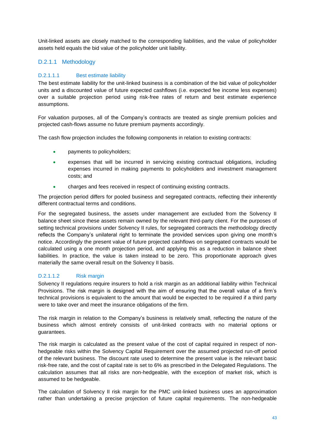Unit-linked assets are closely matched to the corresponding liabilities, and the value of policyholder assets held equals the bid value of the policyholder unit liability.

# D.2.1.1 Methodology

#### D.2.1.1.1 Best estimate liability

The best estimate liability for the unit-linked business is a combination of the bid value of policyholder units and a discounted value of future expected cashflows (i.e. expected fee income less expenses) over a suitable projection period using risk-free rates of return and best estimate experience assumptions.

For valuation purposes, all of the Company's contracts are treated as single premium policies and projected cash-flows assume no future premium payments accordingly.

The cash flow projection includes the following components in relation to existing contracts:

- payments to policyholders;
- expenses that will be incurred in servicing existing contractual obligations, including expenses incurred in making payments to policyholders and investment management costs; and
- charges and fees received in respect of continuing existing contracts.

The projection period differs for pooled business and segregated contracts, reflecting their inherently different contractual terms and conditions.

For the segregated business, the assets under management are excluded from the Solvency II balance sheet since these assets remain owned by the relevant third-party client. For the purposes of setting technical provisions under Solvency II rules, for segregated contracts the methodology directly reflects the Company's unilateral right to terminate the provided services upon giving one month's notice. Accordingly the present value of future projected cashflows on segregated contracts would be calculated using a one month projection period, and applying this as a reduction in balance sheet liabilities. In practice, the value is taken instead to be zero. This proportionate approach gives materially the same overall result on the Solvency II basis.

#### D.2.1.1.2 Risk margin

Solvency II regulations require insurers to hold a risk margin as an additional liability within Technical Provisions. The risk margin is designed with the aim of ensuring that the overall value of a firm's technical provisions is equivalent to the amount that would be expected to be required if a third party were to take over and meet the insurance obligations of the firm.

The risk margin in relation to the Company's business is relatively small, reflecting the nature of the business which almost entirely consists of unit-linked contracts with no material options or guarantees.

The risk margin is calculated as the present value of the cost of capital required in respect of nonhedgeable risks within the Solvency Capital Requirement over the assumed projected run-off period of the relevant business. The discount rate used to determine the present value is the relevant basic risk-free rate, and the cost of capital rate is set to 6% as prescribed in the Delegated Regulations. The calculation assumes that all risks are non-hedgeable, with the exception of market risk, which is assumed to be hedgeable.

The calculation of Solvency II risk margin for the PMC unit-linked business uses an approximation rather than undertaking a precise projection of future capital requirements. The non-hedgeable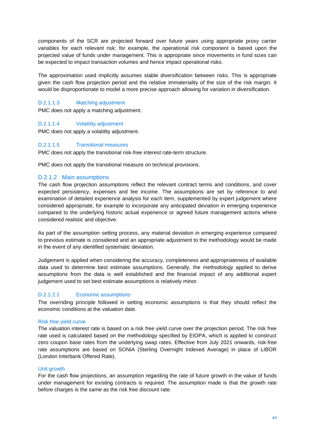components of the SCR are projected forward over future years using appropriate proxy carrier variables for each relevant risk; for example, the operational risk component is based upon the projected value of funds under management. This is appropriate since movements in fund sizes can be expected to impact transaction volumes and hence impact operational risks.

The approximation used implicitly assumes stable diversification between risks. This is appropriate given the cash flow projection period and the relative immateriality of the size of the risk margin. It would be disproportionate to model a more precise approach allowing for variation in diversification.

#### D.2.1.1.3 Matching adjustment

PMC does not apply a matching adjustment.

#### D.2.1.1.4 Volatility adjustment

PMC does not apply a volatility adjustment.

#### D.2.1.1.5 Transitional measures

PMC does not apply the transitional risk-free interest rate-term structure.

PMC does not apply the transitional measure on technical provisions.

#### D.2.1.2 Main assumptions

The cash flow projection assumptions reflect the relevant contract terms and conditions, and cover expected persistency, expenses and fee income. The assumptions are set by reference to and examination of detailed experience analysis for each item, supplemented by expert judgement where considered appropriate, for example to incorporate any anticipated deviation in emerging experience compared to the underlying historic actual experience or agreed future management actions where considered realistic and objective.

As part of the assumption setting process, any material deviation in emerging experience compared to previous estimate is considered and an appropriate adjustment to the methodology would be made in the event of any identified systematic deviation.

Judgement is applied when considering the accuracy, completeness and appropriateness of available data used to determine best estimate assumptions. Generally, the methodology applied to derive assumptions from the data is well established and the financial impact of any additional expert judgement used to set best estimate assumptions is relatively minor.

#### D.2.1.2.1 Economic assumptions

The overriding principle followed in setting economic assumptions is that they should reflect the economic conditions at the valuation date.

#### Risk free yield curve

The valuation interest rate is based on a risk free yield curve over the projection period. The risk free rate used is calculated based on the methodology specified by EIOPA, which is applied to construct zero coupon base rates from the underlying swap rates. Effective from July 2021 onwards, risk-free rate assumptions are based on SONIA (Sterling Overnight Indexed Average) in place of LIBOR (London Interbank Offered Rate).

#### Unit growth

For the cash flow projections, an assumption regarding the rate of future growth in the value of funds under management for existing contracts is required. The assumption made is that the growth rate before charges is the same as the risk free discount rate.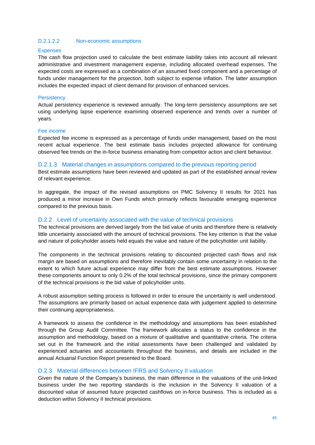#### D.2.1.2.2 Non-economic assumptions

#### **Expenses**

The cash flow projection used to calculate the best estimate liability takes into account all relevant administrative and investment management expense, including allocated overhead expenses. The expected costs are expressed as a combination of an assumed fixed component and a percentage of funds under management for the projection, both subject to expense inflation. The latter assumption includes the expected impact of client demand for provision of enhanced services.

#### **Persistency**

Actual persistency experience is reviewed annually. The long-term persistency assumptions are set using underlying lapse experience examining observed experience and trends over a number of years.

#### Fee income

Expected fee income is expressed as a percentage of funds under management, based on the most recent actual experience. The best estimate basis includes projected allowance for continuing observed fee trends on the in-force business emanating from competitor action and client behaviour.

#### D.2.1.3 Material changes in assumptions compared to the previous reporting period

Best estimate assumptions have been reviewed and updated as part of the established annual review of relevant experience.

In aggregate, the impact of the revised assumptions on PMC Solvency II results for 2021 has produced a minor increase in Own Funds which primarily reflects favourable emerging experience compared to the previous basis.

#### D.2.2 Level of uncertainty associated with the value of technical provisions

The technical provisions are derived largely from the bid value of units and therefore there is relatively little uncertainty associated with the amount of technical provisions. The key criterion is that the value and nature of policyholder assets held equals the value and nature of the policyholder unit liability.

The components in the technical provisions relating to discounted projected cash flows and risk margin are based on assumptions and therefore inevitably contain some uncertainty in relation to the extent to which future actual experience may differ from the best estimate assumptions. However these components amount to only 0.2% of the total technical provisions, since the primary component of the technical provisions is the bid value of policyholder units.

A robust assumption setting process is followed in order to ensure the uncertainty is well understood. The assumptions are primarily based on actual experience data with judgement applied to determine their continuing appropriateness.

A framework to assess the confidence in the methodology and assumptions has been established through the Group Audit Committee. The framework allocates a status to the confidence in the assumption and methodology, based on a mixture of qualitative and quantitative criteria. The criteria set out in the framework and the initial assessments have been challenged and validated by experienced actuaries and accountants throughout the business, and details are included in the annual Actuarial Function Report presented to the Board.

#### D.2.3 Material differences between IFRS and Solvency II valuation

Given the nature of the Company's business, the main difference in the valuations of the unit-linked business under the two reporting standards is the inclusion in the Solvency II valuation of a discounted value of assumed future projected cashflows on in-force business. This is included as a deduction within Solvency II technical provisions.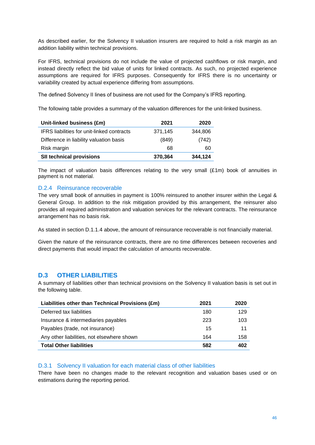As described earlier, for the Solvency II valuation insurers are required to hold a risk margin as an addition liability within technical provisions.

For IFRS, technical provisions do not include the value of projected cashflows or risk margin, and instead directly reflect the bid value of units for linked contracts. As such, no projected experience assumptions are required for IFRS purposes. Consequently for IFRS there is no uncertainty or variability created by actual experience differing from assumptions.

The defined Solvency II lines of business are not used for the Company's IFRS reporting.

The following table provides a summary of the valuation differences for the unit-linked business.

| Unit-linked business (£m)                         | 2021    | 2020    |
|---------------------------------------------------|---------|---------|
| <b>IFRS</b> liabilities for unit-linked contracts | 371,145 | 344,806 |
| Difference in liability valuation basis           | (849)   | (742)   |
| Risk margin                                       | 68      | 60      |
| <b>SII technical provisions</b>                   | 370,364 | 344,124 |

The impact of valuation basis differences relating to the very small (£1m) book of annuities in payment is not material.

#### D.2.4 Reinsurance recoverable

The very small book of annuities in payment is 100% reinsured to another insurer within the Legal & General Group. In addition to the risk mitigation provided by this arrangement, the reinsurer also provides all required administration and valuation services for the relevant contracts. The reinsurance arrangement has no basis risk.

As stated in section D.1.1.4 above, the amount of reinsurance recoverable is not financially material.

Given the nature of the reinsurance contracts, there are no time differences between recoveries and direct payments that would impact the calculation of amounts recoverable.

# <span id="page-45-0"></span>**D.3 OTHER LIABILITIES**

A summary of liabilities other than technical provisions on the Solvency II valuation basis is set out in the following table.

| Liabilities other than Technical Provisions (£m) | 2021 | 2020 |
|--------------------------------------------------|------|------|
| Deferred tax liabilities                         | 180  | 129  |
| Insurance & intermediaries payables              | 223  | 103  |
| Payables (trade, not insurance)                  | 15   | 11   |
| Any other liabilities, not elsewhere shown       | 164  | 158  |
| <b>Total Other liabilities</b>                   | 582  | 402  |

#### D.3.1 Solvency II valuation for each material class of other liabilities

There have been no changes made to the relevant recognition and valuation bases used or on estimations during the reporting period.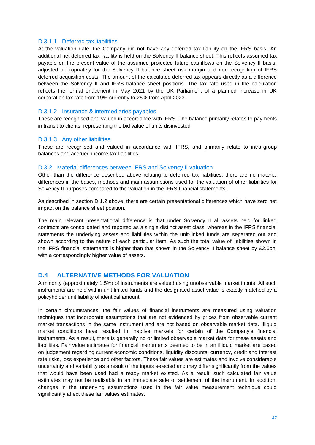#### D.3.1.1 Deferred tax liabilities

At the valuation date, the Company did not have any deferred tax liability on the IFRS basis. An additional net deferred tax liability is held on the Solvency II balance sheet. This reflects assumed tax payable on the present value of the assumed projected future cashflows on the Solvency II basis, adjusted appropriately for the Solvency II balance sheet risk margin and non-recognition of IFRS deferred acquisition costs. The amount of the calculated deferred tax appears directly as a difference between the Solvency II and IFRS balance sheet positions. The tax rate used in the calculation reflects the formal enactment in May 2021 by the UK Parliament of a planned increase in UK corporation tax rate from 19% currently to 25% from April 2023.

#### D.3.1.2 Insurance & intermediaries payables

These are recognised and valued in accordance with IFRS. The balance primarily relates to payments in transit to clients, representing the bid value of units disinvested.

#### D.3.1.3 Any other liabilities

These are recognised and valued in accordance with IFRS, and primarily relate to intra-group balances and accrued income tax liabilities.

#### D.3.2 Material differences between IFRS and Solvency II valuation

Other than the difference described above relating to deferred tax liabilities, there are no material differences in the bases, methods and main assumptions used for the valuation of other liabilities for Solvency II purposes compared to the valuation in the IFRS financial statements.

As described in section D.1.2 above, there are certain presentational differences which have zero net impact on the balance sheet position.

The main relevant presentational difference is that under Solvency II all assets held for linked contracts are consolidated and reported as a single distinct asset class, whereas in the IFRS financial statements the underlying assets and liabilities within the unit-linked funds are separated out and shown according to the nature of each particular item. As such the total value of liabilities shown in the IFRS financial statements is higher than that shown in the Solvency II balance sheet by £2.6bn, with a correspondingly higher value of assets.

# <span id="page-46-0"></span>**D.4 ALTERNATIVE METHODS FOR VALUATION**

A minority (approximately 1.5%) of instruments are valued using unobservable market inputs. All such instruments are held within unit-linked funds and the designated asset value is exactly matched by a policyholder unit liability of identical amount.

In certain circumstances, the fair values of financial instruments are measured using valuation techniques that incorporate assumptions that are not evidenced by prices from observable current market transactions in the same instrument and are not based on observable market data. Illiquid market conditions have resulted in inactive markets for certain of the Company's financial instruments. As a result, there is generally no or limited observable market data for these assets and liabilities. Fair value estimates for financial instruments deemed to be in an illiquid market are based on judgement regarding current economic conditions, liquidity discounts, currency, credit and interest rate risks, loss experience and other factors. These fair values are estimates and involve considerable uncertainty and variability as a result of the inputs selected and may differ significantly from the values that would have been used had a ready market existed. As a result, such calculated fair value estimates may not be realisable in an immediate sale or settlement of the instrument. In addition, changes in the underlying assumptions used in the fair value measurement technique could significantly affect these fair values estimates.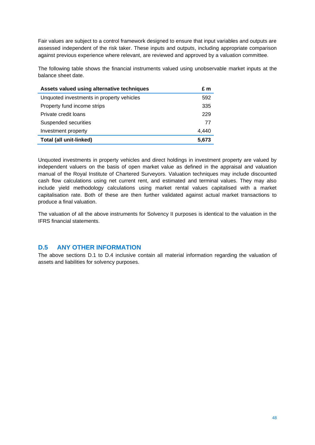Fair values are subject to a control framework designed to ensure that input variables and outputs are assessed independent of the risk taker. These inputs and outputs, including appropriate comparison against previous experience where relevant, are reviewed and approved by a valuation committee.

The following table shows the financial instruments valued using unobservable market inputs at the balance sheet date.

| Assets valued using alternative techniques | £ m   |
|--------------------------------------------|-------|
| Unquoted investments in property vehicles  | 592   |
| Property fund income strips                | 335   |
| Private credit loans                       | 229   |
| Suspended securities                       | 77    |
| Investment property                        | 4.440 |
| Total (all unit-linked)                    | 5.673 |

Unquoted investments in property vehicles and direct holdings in investment property are valued by independent valuers on the basis of open market value as defined in the appraisal and valuation manual of the Royal Institute of Chartered Surveyors. Valuation techniques may include discounted cash flow calculations using net current rent, and estimated and terminal values. They may also include yield methodology calculations using market rental values capitalised with a market capitalisation rate. Both of these are then further validated against actual market transactions to produce a final valuation.

The valuation of all the above instruments for Solvency II purposes is identical to the valuation in the IFRS financial statements.

# <span id="page-47-0"></span>**D.5 ANY OTHER INFORMATION**

The above sections D.1 to D.4 inclusive contain all material information regarding the valuation of assets and liabilities for solvency purposes.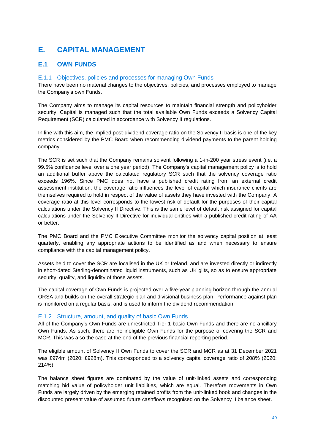# <span id="page-48-0"></span>**E. CAPITAL MANAGEMENT**

# <span id="page-48-1"></span>**E.1 OWN FUNDS**

#### E.1.1 Objectives, policies and processes for managing Own Funds

There have been no material changes to the objectives, policies, and processes employed to manage the Company's own Funds.

The Company aims to manage its capital resources to maintain financial strength and policyholder security. Capital is managed such that the total available Own Funds exceeds a Solvency Capital Requirement (SCR) calculated in accordance with Solvency II regulations.

In line with this aim, the implied post-dividend coverage ratio on the Solvency II basis is one of the key metrics considered by the PMC Board when recommending dividend payments to the parent holding company.

The SCR is set such that the Company remains solvent following a 1-in-200 year stress event (i.e. a 99.5% confidence level over a one year period). The Company's capital management policy is to hold an additional buffer above the calculated regulatory SCR such that the solvency coverage ratio exceeds 196%. Since PMC does not have a published credit rating from an external credit assessment institution, the coverage ratio influences the level of capital which insurance clients are themselves required to hold in respect of the value of assets they have invested with the Company. A coverage ratio at this level corresponds to the lowest risk of default for the purposes of their capital calculations under the Solvency II Directive. This is the same level of default risk assigned for capital calculations under the Solvency II Directive for individual entities with a published credit rating of AA or better.

The PMC Board and the PMC Executive Committee monitor the solvency capital position at least quarterly, enabling any appropriate actions to be identified as and when necessary to ensure compliance with the capital management policy.

Assets held to cover the SCR are localised in the UK or Ireland, and are invested directly or indirectly in short-dated Sterling-denominated liquid instruments, such as UK gilts, so as to ensure appropriate security, quality, and liquidity of those assets.

The capital coverage of Own Funds is projected over a five-year planning horizon through the annual ORSA and builds on the overall strategic plan and divisional business plan. Performance against plan is monitored on a regular basis, and is used to inform the dividend recommendation.

#### E.1.2 Structure, amount, and quality of basic Own Funds

All of the Company's Own Funds are unrestricted Tier 1 basic Own Funds and there are no ancillary Own Funds. As such, there are no ineligible Own Funds for the purpose of covering the SCR and MCR. This was also the case at the end of the previous financial reporting period.

The eligible amount of Solvency II Own Funds to cover the SCR and MCR as at 31 December 2021 was £974m (2020: £928m). This corresponded to a solvency capital coverage ratio of 208% (2020: 214%).

The balance sheet figures are dominated by the value of unit-linked assets and corresponding matching bid value of policyholder unit liabilities, which are equal. Therefore movements in Own Funds are largely driven by the emerging retained profits from the unit-linked book and changes in the discounted present value of assumed future cashflows recognised on the Solvency II balance sheet.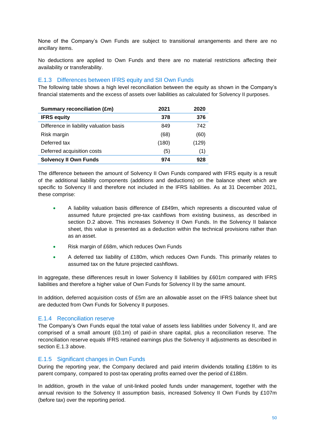None of the Company's Own Funds are subject to transitional arrangements and there are no ancillary items.

No deductions are applied to Own Funds and there are no material restrictions affecting their availability or transferability.

#### E.1.3 Differences between IFRS equity and SII Own Funds

The following table shows a high level reconciliation between the equity as shown in the Company's financial statements and the excess of assets over liabilities as calculated for Solvency II purposes.

| <b>Summary reconciliation (£m)</b>      | 2021  | 2020  |
|-----------------------------------------|-------|-------|
| <b>IFRS equity</b>                      | 378   | 376   |
| Difference in liability valuation basis | 849   | 742   |
| Risk margin                             | (68)  | (60)  |
| Deferred tax                            | (180) | (129) |
| Deferred acquisition costs              | (5)   | (1)   |
| <b>Solvency II Own Funds</b>            | 974   | 928   |

The difference between the amount of Solvency II Own Funds compared with IFRS equity is a result of the additional liability components (additions and deductions) on the balance sheet which are specific to Solvency II and therefore not included in the IFRS liabilities. As at 31 December 2021, these comprise:

- A liability valuation basis difference of £849m, which represents a discounted value of assumed future projected pre-tax cashflows from existing business, as described in section D.2 above. This increases Solvency II Own Funds. In the Solvency II balance sheet, this value is presented as a deduction within the technical provisions rather than as an asset.
- Risk margin of £68m, which reduces Own Funds
- A deferred tax liability of £180m, which reduces Own Funds. This primarily relates to assumed tax on the future projected cashflows.

In aggregate, these differences result in lower Solvency II liabilities by £601m compared with IFRS liabilities and therefore a higher value of Own Funds for Solvency II by the same amount.

In addition, deferred acquisition costs of £5m are an allowable asset on the IFRS balance sheet but are deducted from Own Funds for Solvency II purposes.

#### E.1.4 Reconciliation reserve

The Company's Own Funds equal the total value of assets less liabilities under Solvency II, and are comprised of a small amount (£0.1m) of paid-in share capital, plus a reconciliation reserve. The reconciliation reserve equals IFRS retained earnings plus the Solvency II adjustments as described in section E.1.3 above.

#### E.1.5 Significant changes in Own Funds

During the reporting year, the Company declared and paid interim dividends totalling £186m to its parent company, compared to post-tax operating profits earned over the period of £188m.

In addition, growth in the value of unit-linked pooled funds under management, together with the annual revision to the Solvency II assumption basis, increased Solvency II Own Funds by £107m (before tax) over the reporting period.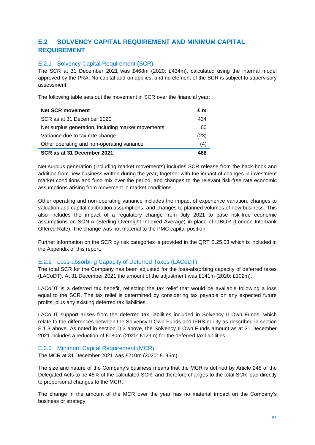# <span id="page-50-0"></span>**E.2 SOLVENCY CAPITAL REQUIREMENT AND MINIMUM CAPITAL REQUIREMENT**

#### E.2.1 Solvency Capital Requirement (SCR)

The SCR at 31 December 2021 was £468m (2020: £434m), calculated using the internal model approved by the PRA. No capital add-on applies, and no element of the SCR is subject to supervisory assessment.

The following table sets out the movement in SCR over the financial year:

| <b>Net SCR movement</b>                            | £m   |
|----------------------------------------------------|------|
| SCR as at 31 December 2020                         | 434  |
| Net surplus generation, including market movements | 60   |
| Variance due to tax rate change                    | (23) |
| Other operating and non-operating variance         | (4)  |
| SCR as at 31 December 2021                         |      |

Net surplus generation (including market movements) includes SCR release from the back-book and addition from new business written during the year, together with the impact of changes in investment market conditions and fund mix over the period, and changes to the relevant risk-free rate economic assumptions arising from movement in market conditions.

Other operating and non-operating variance includes the impact of experience variation, changes to valuation and capital calibration assumptions, and changes to planned volumes of new business. This also includes the impact of a regulatory change from July 2021 to base risk-free economic assumptions on SONIA (Sterling Overnight Indexed Average) in place of LIBOR (London Interbank Offered Rate). The change was not material to the PMC capital position.

Further information on the SCR by risk categories is provided in the QRT S.25.03 which is included in the Appendix of this report.

#### E.2.2 Loss-absorbing Capacity of Deferred Taxes (LACoDT)

The total SCR for the Company has been adjusted for the loss-absorbing capacity of deferred taxes (LACoDT). At 31 December 2021 the amount of the adjustment was £141m (2020: £102m).

LACoDT is a deferred tax benefit, reflecting the tax relief that would be available following a loss equal to the SCR. The tax relief is determined by considering tax payable on any expected future profits, plus any existing deferred tax liabilities.

LACoDT support arises from the deferred tax liabilities included in Solvency II Own Funds, which relate to the differences between the Solvency II Own Funds and IFRS equity as described in section E.1.3 above. As noted in section D.3 above, the Solvency II Own Funds amount as at 31 December 2021 includes a reduction of £180m (2020: £129m) for the deferred tax liabilities.

#### E.2.3 Minimum Capital Requirement (MCR)

The MCR at 31 December 2021 was £210m (2020: £195m).

The size and nature of the Company's business means that the MCR is defined by Article 248 of the Delegated Acts to be 45% of the calculated SCR, and therefore changes to the total SCR lead directly to proportional changes to the MCR.

The change in the amount of the MCR over the year has no material impact on the Company's business or strategy.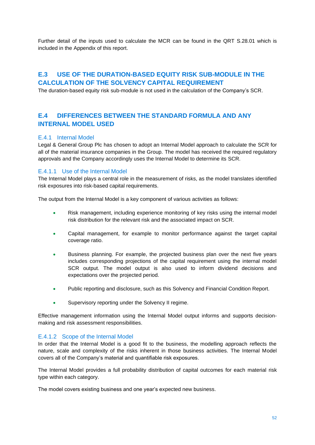Further detail of the inputs used to calculate the MCR can be found in the QRT S.28.01 which is included in the Appendix of this report.

# <span id="page-51-0"></span>**E.3 USE OF THE DURATION-BASED EQUITY RISK SUB-MODULE IN THE CALCULATION OF THE SOLVENCY CAPITAL REQUIREMENT**

The duration-based equity risk sub-module is not used in the calculation of the Company's SCR.

# <span id="page-51-1"></span>**E.4 DIFFERENCES BETWEEN THE STANDARD FORMULA AND ANY INTERNAL MODEL USED**

### E.4.1 Internal Model

Legal & General Group Plc has chosen to adopt an Internal Model approach to calculate the SCR for all of the material insurance companies in the Group. The model has received the required regulatory approvals and the Company accordingly uses the Internal Model to determine its SCR.

#### E.4.1.1 Use of the Internal Model

The Internal Model plays a central role in the measurement of risks, as the model translates identified risk exposures into risk-based capital requirements.

The output from the Internal Model is a key component of various activities as follows:

- Risk management, including experience monitoring of key risks using the internal model risk distribution for the relevant risk and the associated impact on SCR.
- Capital management, for example to monitor performance against the target capital coverage ratio.
- Business planning. For example, the projected business plan over the next five years includes corresponding projections of the capital requirement using the internal model SCR output. The model output is also used to inform dividend decisions and expectations over the projected period.
- Public reporting and disclosure, such as this Solvency and Financial Condition Report.
- Supervisory reporting under the Solvency II regime.

Effective management information using the Internal Model output informs and supports decisionmaking and risk assessment responsibilities.

#### E.4.1.2 Scope of the Internal Model

In order that the Internal Model is a good fit to the business, the modelling approach reflects the nature, scale and complexity of the risks inherent in those business activities. The Internal Model covers all of the Company's material and quantifiable risk exposures.

The Internal Model provides a full probability distribution of capital outcomes for each material risk type within each category.

The model covers existing business and one year's expected new business.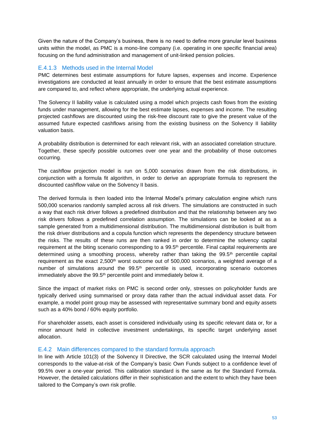Given the nature of the Company's business, there is no need to define more granular level business units within the model, as PMC is a mono-line company (i.e. operating in one specific financial area) focusing on the fund administration and management of unit-linked pension policies.

#### E.4.1.3 Methods used in the Internal Model

PMC determines best estimate assumptions for future lapses, expenses and income. Experience investigations are conducted at least annually in order to ensure that the best estimate assumptions are compared to, and reflect where appropriate, the underlying actual experience.

The Solvency II liability value is calculated using a model which projects cash flows from the existing funds under management, allowing for the best estimate lapses, expenses and income. The resulting projected cashflows are discounted using the risk-free discount rate to give the present value of the assumed future expected cashflows arising from the existing business on the Solvency II liability valuation basis.

A probability distribution is determined for each relevant risk, with an associated correlation structure. Together, these specify possible outcomes over one year and the probability of those outcomes occurring.

The cashflow projection model is run on 5,000 scenarios drawn from the risk distributions, in conjunction with a formula fit algorithm, in order to derive an appropriate formula to represent the discounted cashflow value on the Solvency II basis.

The derived formula is then loaded into the Internal Model's primary calculation engine which runs 500,000 scenarios randomly sampled across all risk drivers. The simulations are constructed in such a way that each risk driver follows a predefined distribution and that the relationship between any two risk drivers follows a predefined correlation assumption. The simulations can be looked at as a sample generated from a multidimensional distribution. The multidimensional distribution is built from the risk driver distributions and a copula function which represents the dependency structure between the risks. The results of these runs are then ranked in order to determine the solvency capital requirement at the biting scenario corresponding to a 99.5<sup>th</sup> percentile. Final capital requirements are determined using a smoothing process, whereby rather than taking the  $99.5<sup>th</sup>$  percentile capital requirement as the exact 2,500<sup>th</sup> worst outcome out of 500,000 scenarios, a weighted average of a number of simulations around the  $99.5<sup>th</sup>$  percentile is used, incorporating scenario outcomes immediately above the 99.5<sup>th</sup> percentile point and immediately below it.

Since the impact of market risks on PMC is second order only, stresses on policyholder funds are typically derived using summarised or proxy data rather than the actual individual asset data. For example, a model point group may be assessed with representative summary bond and equity assets such as a 40% bond / 60% equity portfolio.

For shareholder assets, each asset is considered individually using its specific relevant data or, for a minor amount held in collective investment undertakings, its specific target underlying asset allocation.

#### E.4.2 Main differences compared to the standard formula approach

In line with Article 101(3) of the Solvency II Directive, the SCR calculated using the Internal Model corresponds to the value-at-risk of the Company's basic Own Funds subject to a confidence level of 99.5% over a one-year period. This calibration standard is the same as for the Standard Formula. However, the detailed calculations differ in their sophistication and the extent to which they have been tailored to the Company's own risk profile.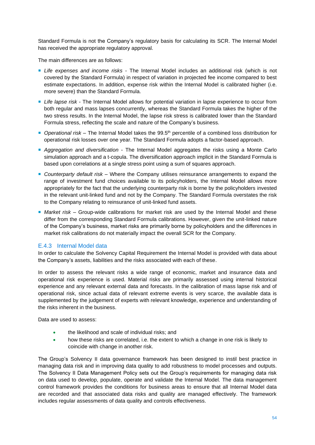Standard Formula is not the Company's regulatory basis for calculating its SCR. The Internal Model has received the appropriate regulatory approval.

The main differences are as follows:

- *Life expenses and income risks* The Internal Model includes an additional risk (which is not covered by the Standard Formula) in respect of variation in projected fee income compared to best estimate expectations. In addition, expense risk within the Internal Model is calibrated higher (i.e. more severe) than the Standard Formula.
- *Life lapse risk*  The Internal Model allows for potential variation in lapse experience to occur from both regular and mass lapses concurrently, whereas the Standard Formula takes the higher of the two stress results. In the Internal Model, the lapse risk stress is calibrated lower than the Standard Formula stress, reflecting the scale and nature of the Company's business.
- Operational risk The Internal Model takes the 99.5<sup>th</sup> percentile of a combined loss distribution for operational risk losses over one year. The Standard Formula adopts a factor-based approach.
- *Aggregation and diversification*  The Internal Model aggregates the risks using a Monte Carlo simulation approach and a t-copula. The diversification approach implicit in the Standard Formula is based upon correlations at a single stress point using a sum of squares approach.
- *Counterparty default risk* Where the Company utilises reinsurance arrangements to expand the range of investment fund choices available to its policyholders, the Internal Model allows more appropriately for the fact that the underlying counterparty risk is borne by the policyholders invested in the relevant unit-linked fund and not by the Company. The Standard Formula overstates the risk to the Company relating to reinsurance of unit-linked fund assets.
- *Market risk* Group-wide calibrations for market risk are used by the Internal Model and these differ from the corresponding Standard Formula calibrations. However, given the unit-linked nature of the Company's business, market risks are primarily borne by policyholders and the differences in market risk calibrations do not materially impact the overall SCR for the Company.

#### E.4.3 Internal Model data

In order to calculate the Solvency Capital Requirement the Internal Model is provided with data about the Company's assets, liabilities and the risks associated with each of these.

In order to assess the relevant risks a wide range of economic, market and insurance data and operational risk experience is used. Material risks are primarily assessed using internal historical experience and any relevant external data and forecasts. In the calibration of mass lapse risk and of operational risk, since actual data of relevant extreme events is very scarce, the available data is supplemented by the judgement of experts with relevant knowledge, experience and understanding of the risks inherent in the business.

Data are used to assess:

- the likelihood and scale of individual risks; and
- how these risks are correlated, i.e. the extent to which a change in one risk is likely to coincide with change in another risk.

The Group's Solvency II data governance framework has been designed to instil best practice in managing data risk and in improving data quality to add robustness to model processes and outputs. The Solvency II Data Management Policy sets out the Group's requirements for managing data risk on data used to develop, populate, operate and validate the Internal Model. The data management control framework provides the conditions for business areas to ensure that all Internal Model data are recorded and that associated data risks and quality are managed effectively. The framework includes regular assessments of data quality and controls effectiveness.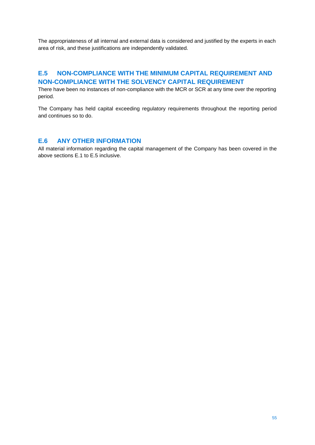The appropriateness of all internal and external data is considered and justified by the experts in each area of risk, and these justifications are independently validated.

# <span id="page-54-0"></span>**E.5 NON-COMPLIANCE WITH THE MINIMUM CAPITAL REQUIREMENT AND NON-COMPLIANCE WITH THE SOLVENCY CAPITAL REQUIREMENT**

There have been no instances of non-compliance with the MCR or SCR at any time over the reporting period.

The Company has held capital exceeding regulatory requirements throughout the reporting period and continues so to do.

# <span id="page-54-1"></span>**E.6 ANY OTHER INFORMATION**

All material information regarding the capital management of the Company has been covered in the above sections E.1 to E.5 inclusive.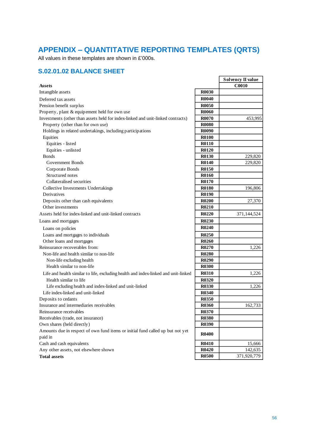# <span id="page-55-0"></span>**APPENDIX – QUANTITATIVE REPORTING TEMPLATES (QRTS)**

All values in these templates are shown in £'000s.

# <span id="page-55-1"></span>**S.02.01.02 BALANCE SHEET**

|                                                                                    |              | <b>Solvency II value</b> |
|------------------------------------------------------------------------------------|--------------|--------------------------|
| <b>Assets</b>                                                                      |              | <b>C0010</b>             |
| Intangible assets                                                                  | <b>R0030</b> |                          |
| Deferred tax assets                                                                | <b>R0040</b> |                          |
| Pension benefit surplus                                                            | <b>R0050</b> |                          |
| Property, plant & equipement held for own use                                      | <b>R0060</b> |                          |
| Investments (other than assets held for index-linked and unit-linked contracts)    | <b>R0070</b> | 453,995                  |
| Property (other than for own use)                                                  | <b>R0080</b> |                          |
| Holdings in related undertakings, including participations                         | <b>R0090</b> |                          |
| Equities                                                                           | <b>R0100</b> |                          |
| Equities - listed                                                                  | <b>R0110</b> |                          |
| Equities - unlisted                                                                | <b>R0120</b> |                          |
| <b>Bonds</b>                                                                       | R0130        | 229,820                  |
| Government Bonds                                                                   | <b>R0140</b> | 229,820                  |
| Corporate Bonds                                                                    | R0150        |                          |
| Structured notes                                                                   | <b>R0160</b> |                          |
| Collateralised securities                                                          | <b>R0170</b> |                          |
| Collective Investments Undertakings                                                | <b>R0180</b> | 196,806                  |
| Derivatives                                                                        | <b>R0190</b> |                          |
| Deposits other than cash equivalents                                               | <b>R0200</b> | 27,370                   |
| Other investments                                                                  | <b>R0210</b> |                          |
| Assets held for index-linked and unit-linked contracts                             | <b>R0220</b> | 371,144,524              |
| Loans and mortgages                                                                | R0230        |                          |
| Loans on policies                                                                  | R0240        |                          |
| Loans and mortgages to individuals                                                 | <b>R0250</b> |                          |
| Other loans and mortgages                                                          | <b>R0260</b> |                          |
| Reinsurance recoverables from:                                                     | R0270        | 1,226                    |
| Non-life and health similar to non-life                                            | <b>R0280</b> |                          |
| Non-life excluding health                                                          | <b>R0290</b> |                          |
| Health similar to non-life                                                         | <b>R0300</b> |                          |
| Life and health similar to life, excluding health and index-linked and unit-linked | <b>R0310</b> | 1,226                    |
| Health similar to life                                                             | <b>R0320</b> |                          |
| Life excluding health and index-linked and unit-linked                             | <b>R0330</b> | 1,226                    |
| Life index-linked and unit-linked                                                  | <b>R0340</b> |                          |
| Deposits to cedants                                                                | <b>R0350</b> |                          |
| Insurance and intermediaries receivables                                           | <b>R0360</b> | 162,733                  |
| Reinsurance receivables                                                            | R0370        |                          |
| Receivables (trade, not insurance)                                                 | <b>R0380</b> |                          |
| Own shares (held directly)                                                         | R0390        |                          |
| Amounts due in respect of own fund items or initial fund called up but not yet     | <b>R0400</b> |                          |
| paid in                                                                            |              |                          |
| Cash and cash equivalents                                                          | <b>R0410</b> | 15,666                   |
| Any other assets, not elsewhere shown                                              | <b>R0420</b> | 142,635                  |
| <b>Total assets</b>                                                                | <b>R0500</b> | 371,920,779              |

 $\overline{\phantom{a}}$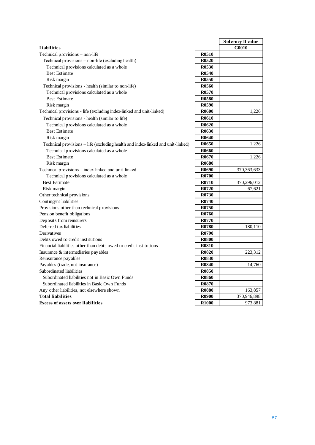|                                                                                 |              | Solvency II value |
|---------------------------------------------------------------------------------|--------------|-------------------|
| <b>Liabilities</b>                                                              |              | C0010             |
| Technical provisions – non-life                                                 | <b>R0510</b> |                   |
| Technical provisions - non-life (excluding health)                              | <b>R0520</b> |                   |
| Technical provisions calculated as a whole                                      | <b>R0530</b> |                   |
| <b>Best Estimate</b>                                                            | <b>R0540</b> |                   |
| Risk margin                                                                     | <b>R0550</b> |                   |
| Technical provisions - health (similar to non-life)                             | <b>R0560</b> |                   |
| Technical provisions calculated as a whole                                      | R0570        |                   |
| <b>Best Estimate</b>                                                            | <b>R0580</b> |                   |
| Risk margin                                                                     | <b>R0590</b> |                   |
| Technical provisions - life (excluding index-linked and unit-linked)            | <b>R0600</b> | 1,226             |
| Technical provisions - health (similar to life)                                 | <b>R0610</b> |                   |
| Technical provisions calculated as a whole                                      | <b>R0620</b> |                   |
| <b>Best Estimate</b>                                                            | R0630        |                   |
| Risk margin                                                                     | <b>R0640</b> |                   |
| Technical provisions - life (excluding health and index-linked and unit-linked) | <b>R0650</b> | 1,226             |
| Technical provisions calculated as a whole                                      | <b>R0660</b> |                   |
| <b>Best Estimate</b>                                                            | R0670        | 1,226             |
| Risk margin                                                                     | <b>R0680</b> |                   |
| Technical provisions - index-linked and unit-linked                             | R0690        | 370, 363, 633     |
| Technical provisions calculated as a whole                                      | <b>R0700</b> |                   |
| <b>Best Estimate</b>                                                            | R0710        | 370,296,012       |
| Risk margin                                                                     | R0720        | 67,621            |
| Other technical provisions                                                      | R0730        |                   |
| Contingent liabilities                                                          | R0740        |                   |
| Provisions other than technical provisions                                      | R0750        |                   |
| Pension benefit obligations                                                     | R0760        |                   |
| Deposits from reinsurers                                                        | R0770        |                   |
| Deferred tax liabilities                                                        | R0780        | 180,110           |
| Derivatives                                                                     | R0790        |                   |
| Debts owed to credit institutions                                               | <b>R0800</b> |                   |
| Financial liabilities other than debts owed to credit institutions              | <b>R0810</b> |                   |
| Insurance & intermediaries payables                                             | <b>R0820</b> | 223,312           |
| Reinsurance payables                                                            | <b>R0830</b> |                   |
| Payables (trade, not insurance)                                                 | <b>R0840</b> | 14,760            |
| Subordinated liabilities                                                        | <b>R0850</b> |                   |
| Subordinated liabilities not in Basic Own Funds                                 | <b>R0860</b> |                   |
| Subordinated liabilities in Basic Own Funds                                     | <b>R0870</b> |                   |
| Any other liabilities, not elsewhere shown                                      | <b>R0880</b> | 163,857           |
| <b>Total liabilities</b>                                                        | <b>R0900</b> | 370,946,898       |
| <b>Excess of assets over liabilities</b>                                        | <b>R1000</b> | 973,881           |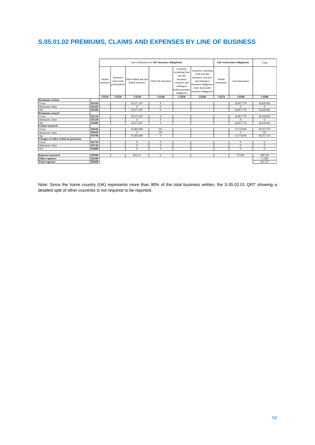# <span id="page-57-0"></span>**S.05.01.02 PREMIUMS, CLAIMS AND EXPENSES BY LINE OF BUSINESS**

| Annuities<br>Annuities stemming<br>stemming from<br>from non-life<br>non-life<br>Insurance<br>insurance contracts<br>Health<br>Health<br>Index-linked and unit-<br>insurance<br>with profit<br>Other life insurance<br>and relating to<br>Life-reinsurance<br>linked insurance<br>reinsurance<br>contracts and<br>insurance<br>insurance obligations<br>participation<br>relating to<br>other than health<br>health insurance<br>insurance obligations<br>obligations<br>C0220<br>C0210<br>C0230<br>C0250<br>C0260<br>C0270<br>C0280<br>C0300<br>C0240<br>Premiums written<br>R1410<br>Gross<br>29,571,287<br>20,857,778<br>50,429,065<br>$\mathbf{0}$<br>R1420<br>$\Omega$<br>$\mathbf{0}$<br>$\mathbf{0}$<br>$\Omega$<br>Reinsurers' share<br>Net<br><b>R1500</b><br>29,571,287<br>20,857,778<br>50,429,065<br>$\mathbf{0}$<br>Premiums earned<br>R1510<br>29,571,287<br>20,857,778<br>50,429,065<br>Gross<br>$\mathbf{0}$<br>Reinsurers' share<br>R <sub>1520</sub><br>$\Omega$<br>$\Omega$<br>$\Omega$<br>$\mathbf{0}$<br>Net<br>20,857,778<br>50,429,065<br>R <sub>1600</sub><br>29,571,287<br>$\mathbf{0}$<br><b>Claims</b> incurred<br>R <sub>1610</sub><br>45,083,090<br>13,174,044<br>58,257,375<br>Gross<br>241<br>R <sub>1620</sub><br>241<br>Reinsurers' share<br>241<br>$\Omega$<br>$\Omega$<br>R1700<br>45.083.090<br>13,174,044<br>58,257,135<br>$\Omega$<br>Net |                                       | Line of Business for: life insurance obligations |  |  | Life reinsurance obligations |  | Total |  |  |
|---------------------------------------------------------------------------------------------------------------------------------------------------------------------------------------------------------------------------------------------------------------------------------------------------------------------------------------------------------------------------------------------------------------------------------------------------------------------------------------------------------------------------------------------------------------------------------------------------------------------------------------------------------------------------------------------------------------------------------------------------------------------------------------------------------------------------------------------------------------------------------------------------------------------------------------------------------------------------------------------------------------------------------------------------------------------------------------------------------------------------------------------------------------------------------------------------------------------------------------------------------------------------------------------------------------------------------------------------------------------------------|---------------------------------------|--------------------------------------------------|--|--|------------------------------|--|-------|--|--|
|                                                                                                                                                                                                                                                                                                                                                                                                                                                                                                                                                                                                                                                                                                                                                                                                                                                                                                                                                                                                                                                                                                                                                                                                                                                                                                                                                                                 |                                       |                                                  |  |  |                              |  |       |  |  |
|                                                                                                                                                                                                                                                                                                                                                                                                                                                                                                                                                                                                                                                                                                                                                                                                                                                                                                                                                                                                                                                                                                                                                                                                                                                                                                                                                                                 |                                       |                                                  |  |  |                              |  |       |  |  |
|                                                                                                                                                                                                                                                                                                                                                                                                                                                                                                                                                                                                                                                                                                                                                                                                                                                                                                                                                                                                                                                                                                                                                                                                                                                                                                                                                                                 |                                       |                                                  |  |  |                              |  |       |  |  |
|                                                                                                                                                                                                                                                                                                                                                                                                                                                                                                                                                                                                                                                                                                                                                                                                                                                                                                                                                                                                                                                                                                                                                                                                                                                                                                                                                                                 |                                       |                                                  |  |  |                              |  |       |  |  |
|                                                                                                                                                                                                                                                                                                                                                                                                                                                                                                                                                                                                                                                                                                                                                                                                                                                                                                                                                                                                                                                                                                                                                                                                                                                                                                                                                                                 |                                       |                                                  |  |  |                              |  |       |  |  |
|                                                                                                                                                                                                                                                                                                                                                                                                                                                                                                                                                                                                                                                                                                                                                                                                                                                                                                                                                                                                                                                                                                                                                                                                                                                                                                                                                                                 |                                       |                                                  |  |  |                              |  |       |  |  |
|                                                                                                                                                                                                                                                                                                                                                                                                                                                                                                                                                                                                                                                                                                                                                                                                                                                                                                                                                                                                                                                                                                                                                                                                                                                                                                                                                                                 |                                       |                                                  |  |  |                              |  |       |  |  |
|                                                                                                                                                                                                                                                                                                                                                                                                                                                                                                                                                                                                                                                                                                                                                                                                                                                                                                                                                                                                                                                                                                                                                                                                                                                                                                                                                                                 |                                       |                                                  |  |  |                              |  |       |  |  |
|                                                                                                                                                                                                                                                                                                                                                                                                                                                                                                                                                                                                                                                                                                                                                                                                                                                                                                                                                                                                                                                                                                                                                                                                                                                                                                                                                                                 |                                       |                                                  |  |  |                              |  |       |  |  |
|                                                                                                                                                                                                                                                                                                                                                                                                                                                                                                                                                                                                                                                                                                                                                                                                                                                                                                                                                                                                                                                                                                                                                                                                                                                                                                                                                                                 |                                       |                                                  |  |  |                              |  |       |  |  |
|                                                                                                                                                                                                                                                                                                                                                                                                                                                                                                                                                                                                                                                                                                                                                                                                                                                                                                                                                                                                                                                                                                                                                                                                                                                                                                                                                                                 |                                       |                                                  |  |  |                              |  |       |  |  |
|                                                                                                                                                                                                                                                                                                                                                                                                                                                                                                                                                                                                                                                                                                                                                                                                                                                                                                                                                                                                                                                                                                                                                                                                                                                                                                                                                                                 |                                       |                                                  |  |  |                              |  |       |  |  |
|                                                                                                                                                                                                                                                                                                                                                                                                                                                                                                                                                                                                                                                                                                                                                                                                                                                                                                                                                                                                                                                                                                                                                                                                                                                                                                                                                                                 |                                       |                                                  |  |  |                              |  |       |  |  |
|                                                                                                                                                                                                                                                                                                                                                                                                                                                                                                                                                                                                                                                                                                                                                                                                                                                                                                                                                                                                                                                                                                                                                                                                                                                                                                                                                                                 |                                       |                                                  |  |  |                              |  |       |  |  |
|                                                                                                                                                                                                                                                                                                                                                                                                                                                                                                                                                                                                                                                                                                                                                                                                                                                                                                                                                                                                                                                                                                                                                                                                                                                                                                                                                                                 | Changes in other technical provisions |                                                  |  |  |                              |  |       |  |  |
| R1710<br>Gross<br>$\mathbf{0}$<br>$\mathbf{0}$<br>$\mathbf{0}$<br>$\mathbf{0}$                                                                                                                                                                                                                                                                                                                                                                                                                                                                                                                                                                                                                                                                                                                                                                                                                                                                                                                                                                                                                                                                                                                                                                                                                                                                                                  |                                       |                                                  |  |  |                              |  |       |  |  |
| R1720<br>Reinsurers' share<br>$\mathbf{0}$<br>$\mathbf{0}$<br>$\mathbf{0}$<br>$\mathbf{0}$                                                                                                                                                                                                                                                                                                                                                                                                                                                                                                                                                                                                                                                                                                                                                                                                                                                                                                                                                                                                                                                                                                                                                                                                                                                                                      |                                       |                                                  |  |  |                              |  |       |  |  |
| <b>R1800</b><br>Net<br>$\Omega$<br>$\Omega$<br>$\mathbf{0}$<br>$\Omega$                                                                                                                                                                                                                                                                                                                                                                                                                                                                                                                                                                                                                                                                                                                                                                                                                                                                                                                                                                                                                                                                                                                                                                                                                                                                                                         |                                       |                                                  |  |  |                              |  |       |  |  |
|                                                                                                                                                                                                                                                                                                                                                                                                                                                                                                                                                                                                                                                                                                                                                                                                                                                                                                                                                                                                                                                                                                                                                                                                                                                                                                                                                                                 |                                       |                                                  |  |  |                              |  |       |  |  |
| R <sub>1900</sub><br>97,026<br>380,538<br>283,511<br><b>Expenses incurred</b><br>$\mathbf{0}$                                                                                                                                                                                                                                                                                                                                                                                                                                                                                                                                                                                                                                                                                                                                                                                                                                                                                                                                                                                                                                                                                                                                                                                                                                                                                   |                                       |                                                  |  |  |                              |  |       |  |  |
| Other expenses<br><b>R2500</b><br>71,589                                                                                                                                                                                                                                                                                                                                                                                                                                                                                                                                                                                                                                                                                                                                                                                                                                                                                                                                                                                                                                                                                                                                                                                                                                                                                                                                        |                                       |                                                  |  |  |                              |  |       |  |  |
| <b>Total expenses</b><br><b>R2600</b><br>452,127                                                                                                                                                                                                                                                                                                                                                                                                                                                                                                                                                                                                                                                                                                                                                                                                                                                                                                                                                                                                                                                                                                                                                                                                                                                                                                                                |                                       |                                                  |  |  |                              |  |       |  |  |

Note: Since the home country (UK) represents more than 90% of the total business written, the S.05.02.01 QRT showing a detailed split of other countries is not required to be reported.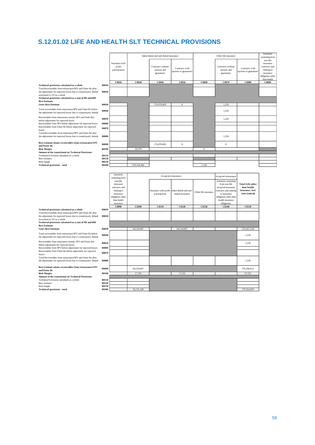# <span id="page-58-0"></span>**S.12.01.02 LIFE AND HEALTH SLT TECHNICAL PROVISIONS**

|                       |                                                                                                         |             |                                                |                                         |                                                                                                                                             | Other life insurance                                                                                                         |                                                                             | Annuities<br>stemming from                                                             |
|-----------------------|---------------------------------------------------------------------------------------------------------|-------------|------------------------------------------------|-----------------------------------------|---------------------------------------------------------------------------------------------------------------------------------------------|------------------------------------------------------------------------------------------------------------------------------|-----------------------------------------------------------------------------|----------------------------------------------------------------------------------------|
|                       | Insurance with<br>profit<br>participation                                                               |             | Contracts without<br>options and<br>guarantees | Contracts with<br>options or guarantees |                                                                                                                                             | Contracts without<br>options and<br>guarantees                                                                               | Contracts with<br>options or guarantees                                     | non-life<br>insurance<br>contracts and<br>relating to<br>insurance<br>obligation other |
|                       |                                                                                                         |             |                                                |                                         |                                                                                                                                             |                                                                                                                              |                                                                             | than health<br>C0090                                                                   |
| R0010<br><b>R0020</b> |                                                                                                         |             |                                                |                                         |                                                                                                                                             |                                                                                                                              |                                                                             |                                                                                        |
|                       |                                                                                                         |             |                                                | $\theta$                                |                                                                                                                                             |                                                                                                                              |                                                                             |                                                                                        |
| R0040                 |                                                                                                         |             |                                                |                                         |                                                                                                                                             | 1,226                                                                                                                        |                                                                             |                                                                                        |
| R0050                 |                                                                                                         |             |                                                |                                         |                                                                                                                                             | 1,226                                                                                                                        |                                                                             |                                                                                        |
| R0060                 |                                                                                                         |             |                                                |                                         |                                                                                                                                             |                                                                                                                              |                                                                             |                                                                                        |
|                       |                                                                                                         |             |                                                |                                         |                                                                                                                                             |                                                                                                                              |                                                                             |                                                                                        |
| <b>R0080</b>          |                                                                                                         |             |                                                |                                         |                                                                                                                                             | 1,226                                                                                                                        |                                                                             |                                                                                        |
|                       |                                                                                                         |             |                                                |                                         |                                                                                                                                             |                                                                                                                              |                                                                             |                                                                                        |
|                       |                                                                                                         |             |                                                |                                         |                                                                                                                                             |                                                                                                                              |                                                                             |                                                                                        |
|                       |                                                                                                         |             |                                                |                                         |                                                                                                                                             |                                                                                                                              |                                                                             |                                                                                        |
| R0110                 |                                                                                                         |             |                                                |                                         |                                                                                                                                             |                                                                                                                              |                                                                             |                                                                                        |
|                       |                                                                                                         |             |                                                |                                         |                                                                                                                                             |                                                                                                                              |                                                                             |                                                                                        |
| <b>R0200</b>          |                                                                                                         | 276,128,384 |                                                |                                         | 1.226                                                                                                                                       |                                                                                                                              |                                                                             |                                                                                        |
|                       |                                                                                                         |             |                                                |                                         |                                                                                                                                             |                                                                                                                              |                                                                             |                                                                                        |
|                       | Annuities                                                                                               |             |                                                |                                         |                                                                                                                                             |                                                                                                                              |                                                                             |                                                                                        |
|                       | stemming from<br>non-life<br>insurance<br>contracts and<br>relating to<br>insurance<br>obligation other |             | participation                                  | linked insurance                        | Other life insurance                                                                                                                        | Annuities stemming<br>from non-life<br>accepted insurance<br>contracts and relating<br>to insurance<br>obligation other than | <b>Total (Life other</b><br>than health<br>insurance, incl.<br>Unit-Linked) |                                                                                        |
|                       | than health<br>insurance                                                                                |             |                                                |                                         |                                                                                                                                             | health insurance<br>obligations                                                                                              |                                                                             |                                                                                        |
|                       | C0090                                                                                                   | C0100       | <b>C0110</b>                                   | C0120                                   | <b>C0130</b>                                                                                                                                | <b>C0140</b>                                                                                                                 | <b>C0150</b>                                                                |                                                                                        |
| R0010<br>R0020        |                                                                                                         |             |                                                |                                         |                                                                                                                                             |                                                                                                                              |                                                                             |                                                                                        |
| R0030                 |                                                                                                         | 94,218,007  |                                                | 94,218,007                              |                                                                                                                                             |                                                                                                                              | 370,297,238                                                                 |                                                                                        |
| R0040                 |                                                                                                         |             |                                                |                                         |                                                                                                                                             |                                                                                                                              | 1,226                                                                       |                                                                                        |
| R0050                 |                                                                                                         |             |                                                |                                         |                                                                                                                                             |                                                                                                                              | 1,226                                                                       |                                                                                        |
| R0060                 |                                                                                                         |             |                                                |                                         |                                                                                                                                             |                                                                                                                              |                                                                             |                                                                                        |
| R0070                 |                                                                                                         |             |                                                |                                         |                                                                                                                                             |                                                                                                                              |                                                                             |                                                                                        |
| ${\bf R0080}$         |                                                                                                         |             |                                                |                                         |                                                                                                                                             |                                                                                                                              | 1,226                                                                       |                                                                                        |
| R0090                 |                                                                                                         | 94,218,007  |                                                |                                         |                                                                                                                                             |                                                                                                                              | 370,296,012                                                                 |                                                                                        |
| <b>R0100</b>          |                                                                                                         | 17,241      |                                                | 17,241                                  |                                                                                                                                             |                                                                                                                              | 67,621                                                                      |                                                                                        |
|                       |                                                                                                         |             |                                                |                                         |                                                                                                                                             |                                                                                                                              |                                                                             |                                                                                        |
| R0110<br>R0120        |                                                                                                         |             |                                                |                                         |                                                                                                                                             |                                                                                                                              |                                                                             |                                                                                        |
| R0130<br><b>R0200</b> |                                                                                                         | 94,235,248  |                                                |                                         |                                                                                                                                             |                                                                                                                              | 370,364,859                                                                 |                                                                                        |
|                       | R0030<br><b>R0070</b><br>R0090<br><b>R0100</b><br><b>R0120</b><br>R0130                                 | C0020       | C0030<br>50,379                                | C0040<br>276,078,005<br>276,078,005     | Index-linked and unit-linked insurance<br>C0050<br>$\boldsymbol{0}$<br>Accepted reinsurance<br>Insurance with profit Index-linked and unit- | C0060<br>$\boldsymbol{0}$                                                                                                    | C0070<br>1,226<br>$\boldsymbol{0}$<br>Accepted reinsurance                  | $\bf{C}0080$                                                                           |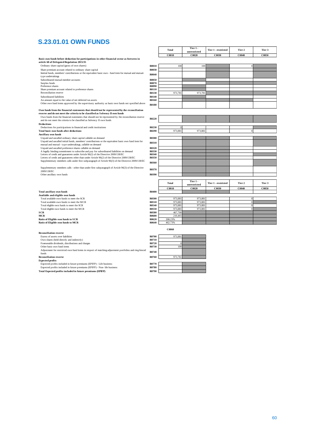# <span id="page-59-0"></span>**S.23.01.01 OWN FUNDS**

|                                                                                                                                            |                | <b>Total</b> | Tier 1 -     | Tier 1 - restricted | Tier 2       | Tier 3 |
|--------------------------------------------------------------------------------------------------------------------------------------------|----------------|--------------|--------------|---------------------|--------------|--------|
|                                                                                                                                            |                |              | unrestricted |                     |              |        |
|                                                                                                                                            |                | C0010        | C0020        | C0030               | C0040        | C0050  |
| Basic own funds before deduction for participations in other financial sector as foreseen in<br>article 68 of Delegated Regulation 2015/35 |                |              |              |                     |              |        |
| Ordinary share capital (gross of own shares)                                                                                               | <b>R0010</b>   | 100          | 100          |                     |              |        |
| Share premium account related to ordinary share capital                                                                                    | R0030          |              |              |                     |              |        |
| Iinitial funds, members' contributions or the equivalent basic own - fund item for mutual and mutual-                                      | R0040          |              |              |                     |              |        |
| type undertakings                                                                                                                          |                |              |              |                     |              |        |
| Subordinated mutual member accounts                                                                                                        | R0050          |              |              |                     |              |        |
| Surplus funds                                                                                                                              | R0070          |              |              |                     |              |        |
| Preference shares<br>Share premium account related to preference shares                                                                    | R0090<br>R0110 |              |              |                     |              |        |
| Reconciliation reserve                                                                                                                     | R0130          | 973,781      | 973,781      |                     |              |        |
|                                                                                                                                            | R0140          |              |              |                     |              |        |
| Subordinated liabilities<br>An amount equal to the value of net deferred tax assets                                                        | R0160          |              |              |                     |              |        |
| Other own fund items approved by the supervisory authority as basic own funds not specified above                                          |                |              |              |                     |              |        |
|                                                                                                                                            | <b>R0180</b>   |              |              |                     |              |        |
| Own funds from the financial statements that should not be represented by the reconciliation                                               |                |              |              |                     |              |        |
| reserve and do not meet the criteria to be classified as Solvency II own funds                                                             |                |              |              |                     |              |        |
| Own funds from the financial statements that should not be represented by the reconciliation reserve                                       |                |              |              |                     |              |        |
| and do not meet the criteria to be classified as Solvency II own funds                                                                     | R0220          |              |              |                     |              |        |
| Deductions                                                                                                                                 |                |              |              |                     |              |        |
| Deductions for participations in financial and credit institutions                                                                         | R0230          | $\Omega$     |              |                     |              |        |
| Total basic own funds after deductions                                                                                                     | R0290          | 973,88       | 973.881      |                     | $\bf{0}$     |        |
| <b>Ancillary own funds</b>                                                                                                                 |                |              |              |                     |              |        |
| Unpaid and uncalled ordinary share capital callable on demand                                                                              | <b>R0300</b>   |              |              |                     |              |        |
| Unpaid and uncalled initial funds, members' contributions or the equivalent basic own fund item for                                        |                |              |              |                     |              |        |
| mutual and mutual - type undertakings, callable on demand                                                                                  | R0310          |              |              |                     |              |        |
| Unpaid and uncalled preference shares callable on demand                                                                                   | R0320          |              |              |                     |              |        |
| A legally binding commitment to subscribe and pay for subordinated liabilities on demand                                                   | R0330          |              |              |                     |              |        |
| Letters of credit and guarantees under Article 96(2) of the Directive 2009/138/EC                                                          | R0340          |              |              |                     |              |        |
| Letters of credit and guarantees other than under Article 96(2) of the Directive 2009/138/EC                                               | R0350          |              |              |                     |              |        |
| Supplementary members calls under first subparagraph of Article 96(3) of the Directive 2009/138/EC                                         | R0360          |              |              |                     |              |        |
|                                                                                                                                            |                |              |              |                     |              |        |
| Supplementary members calls - other than under first subparagraph of Article 96(3) of the Directive<br>2009/138/EC                         | R0370          |              |              |                     |              |        |
| Other ancillary own funds                                                                                                                  | R0390          |              |              |                     |              |        |
|                                                                                                                                            |                |              |              |                     |              |        |
|                                                                                                                                            |                |              | Tier 1 -     |                     |              |        |
|                                                                                                                                            |                | Total        | unrestricted | Tier 1 - restricted | Tier 2       | Tier 3 |
|                                                                                                                                            |                | C0010        | C0020        | C0030               | C0040        | C0050  |
| Total ancillary own funds                                                                                                                  | R0400          |              |              |                     |              |        |
| Available and eligible own funds                                                                                                           |                |              |              |                     |              |        |
| Total available own funds to meet the SCR                                                                                                  | <b>R0500</b>   | 973,881      | 973,881      |                     | $\bf{0}$     |        |
| Total available own funds to meet the MCR                                                                                                  | R0510          | 973.881      | 973,881      |                     | $\mathbf{0}$ |        |
| Total eligible own funds to meet the SCR                                                                                                   | R0540          | 973.881      | 973,881      |                     | $\mathbf{0}$ |        |
| Total eligible own funds to meet the MCR                                                                                                   | R0550          | 973,881      | 973.881      |                     | $\Omega$     |        |
| SCR                                                                                                                                        | <b>R0580</b>   | 467,700      |              |                     |              |        |
| MCR                                                                                                                                        | <b>R0600</b>   | 210,465      |              |                     |              |        |
| Ratio of Eligible own funds to SCR                                                                                                         | R0620          | 208.23%      |              |                     |              |        |
| Ratio of Eligible own funds to MCR                                                                                                         | R0640          | 462.73%      |              |                     |              |        |
|                                                                                                                                            |                |              |              |                     |              |        |
| <b>Reconciliation reserve</b>                                                                                                              |                | <b>C0060</b> |              |                     |              |        |
|                                                                                                                                            | R0700          | 973,881      |              |                     |              |        |
| Excess of assets over liabilities                                                                                                          | R0710          |              |              |                     |              |        |
| Own shares (held directly and indirectly)                                                                                                  |                |              |              |                     |              |        |
| Foreseeable dividends, distributions and charges                                                                                           | R0720          |              |              |                     |              |        |
| Other basic own fund items                                                                                                                 | R0730          | 100          |              |                     |              |        |
| Adjustment for restricted own fund items in respect of matching adjustment portfolios and ring fenced                                      | R0740          |              |              |                     |              |        |
| funds<br><b>Reconciliation reserve</b>                                                                                                     | R0760          | 973.781      |              |                     |              |        |
|                                                                                                                                            |                |              |              |                     |              |        |

| $\sim$                                                                                                | .            | $7.1 - 1.001 +$ |  |
|-------------------------------------------------------------------------------------------------------|--------------|-----------------|--|
| Own shares (held directly and indirectly)                                                             | <b>R0710</b> |                 |  |
| Foreseeable dividends, distributions and charges                                                      | R0720        |                 |  |
| Other basic own fund items                                                                            | <b>R0730</b> | 100             |  |
| Adjustment for restricted own fund items in respect of matching adjustment portfolios and ring fenced | R0740        |                 |  |
| funds                                                                                                 |              |                 |  |
| <b>Reconciliation reserve</b>                                                                         | R0760        | 973.781         |  |
| <b>Expected profits</b>                                                                               |              |                 |  |
| Expected profits included in future premiums (EPIFP) - Life business                                  | R0770        |                 |  |
| Expected profits included in future premiums (EPIFP) - Non- life business                             | <b>R0780</b> |                 |  |
| Total Expected profits included in future premiums (EPIFP)                                            | <b>R0790</b> |                 |  |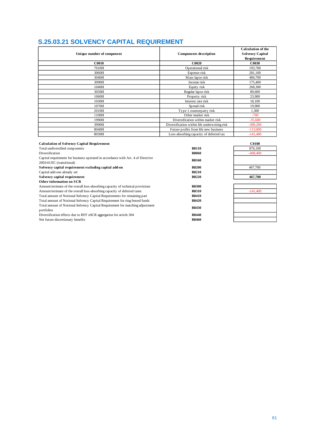# <span id="page-60-0"></span>**S.25.03.21 SOLVENCY CAPITAL REQUIREMENT**

|                            |                                               | <b>Calculation of the</b> |
|----------------------------|-----------------------------------------------|---------------------------|
| Unique number of component | <b>Components description</b>                 | <b>Solvency Capital</b>   |
|                            |                                               | Requirement               |
| <b>C0010</b>               | <b>C0020</b>                                  | <b>C0030</b>              |
| 70100I                     | Operational risk                              | 193,700                   |
| 30600I                     | Expense risk                                  | 281,100                   |
| 30400I                     | Mass lapse risk                               | 484,700                   |
| 30900I                     | Income risk                                   | 175,400                   |
| 10400I                     | Equity risk                                   | 268,300                   |
| 30500I                     | Regular lapse risk                            | 89,600                    |
| 10600I                     | Property risk                                 | 23,900                    |
| 10300I                     | Interest rate risk                            | 18,100                    |
| 107001                     | Spread risk                                   | 19,900                    |
| 20100I                     | Type 1 counterparty risk                      | 1,300                     |
| 11000I                     | Other market risk                             | $-700$                    |
| 19900I                     | Diversification within market risk            | $-35,600$                 |
| 39900I                     | Diversification within life underwriting risk | $-389,200$                |
| 80400I                     | Future profits from life new business         | $-113,000$                |
| 80300I                     | Loss-absorbing capacity of deferred tax       | $-141,400$                |

| <b>C0100</b>               |
|----------------------------|
| <b>R0110</b><br>876,100    |
| $-408,400$<br><b>R0060</b> |
| <b>R0160</b>               |
|                            |
| 467,700<br><b>R0200</b>    |
| <b>R0210</b>               |
| 467,700<br><b>R0220</b>    |
|                            |
| <b>R0300</b>               |
| <b>R0310</b><br>$-141,400$ |
| <b>R0410</b>               |
| <b>R0420</b>               |
| <b>R0430</b>               |
|                            |
| <b>R0440</b>               |
| <b>R0460</b>               |
|                            |